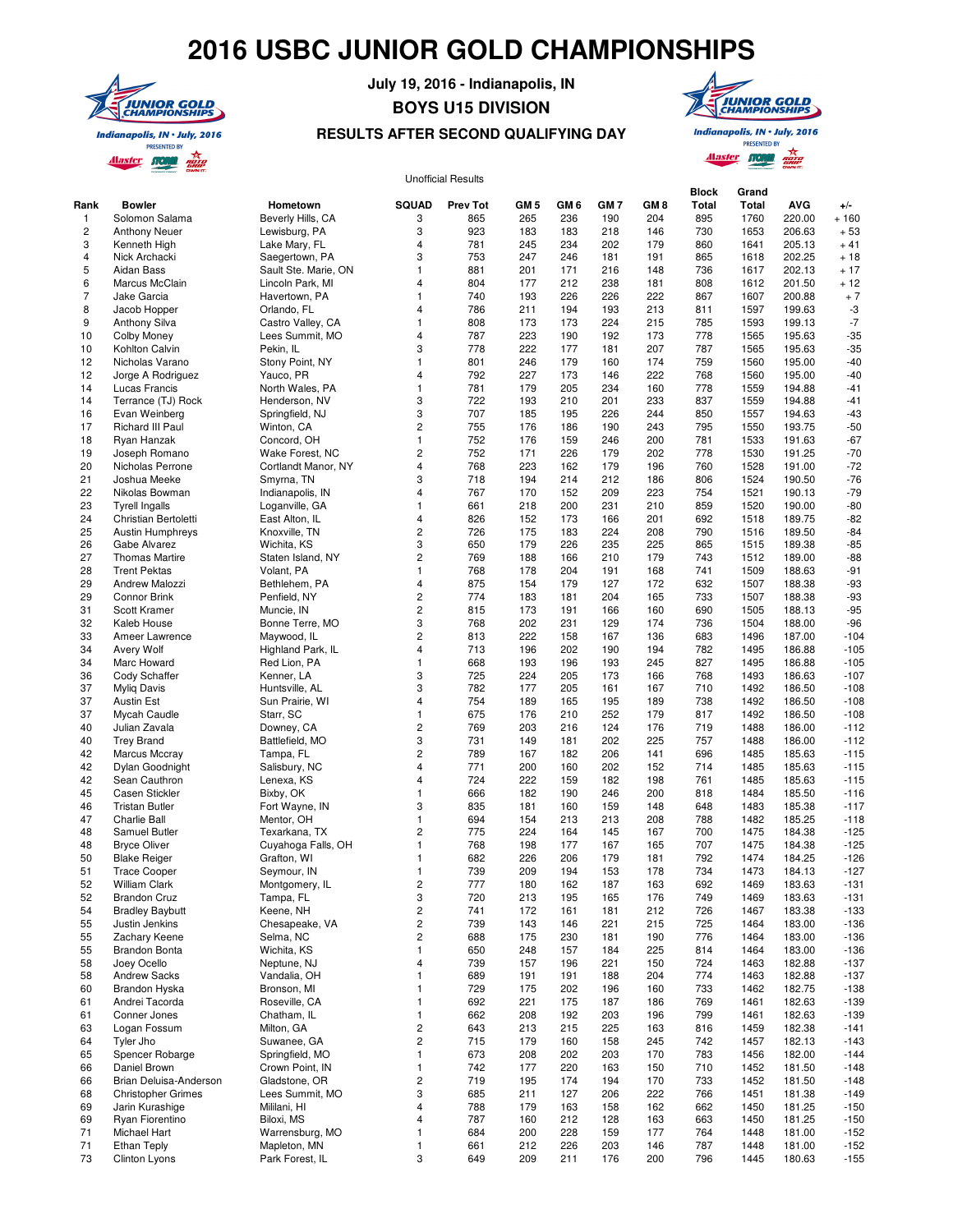# **2016 USBC JUNIOR GOLD CHAMPIONSHIPS**



### **July 19, 2016 - Indianapolis, IN**

# **BOYS U15 DIVISION**



## **RESULTS AFTER SECOND QUALIFYING DAY**

**Indianapolis, IN . July, 2016 PRESENTED BY** Alaster STORM noro<br>GRIP

#### Rank Bowler Hometown SQUAD Prev Tot GM 5 GM 6 GM 7 GM 8 **Block Total Grand Total AVG** +/-<br>1760 220.00 + 160 1 Solomon Salama Beverly Hills, CA 3 865 265 236 190 204 895 1760 220.00 + 160 2 Anthony Neuer Lewisburg, PA 3 923 183 183 218 146 730 1653 206.63 + 53 3 Kenneth High Lake Mary, FL 4 781 245 234 202 179 860 1641 205.13 + 41 4 Nick Archacki Saegertown, PA 3 753 247 246 181 191 865 1618 202.25 + 18 5 Aidan Bass Sault Ste. Marie, ON 1 881 201 171 216 148 736 1617 202.13 + 17 6 Marcus McClain Lincoln Park, MI 4 804 177 212 238 181 808 1612 201.50 + 12 7 Jake Garcia Havertown, PA 1 740 193 226 226 222 867 1607 200.88 + 7 8 Jacob Hopper Orlando, FL 4 786 211 194 193 213 811 1597 199.63 -3 9 Anthony Silva Castro Valley, CA 1 808 173 173 224 215 785 1593 199.13 -7 10 Colby Money Lees Summit, MO 4 787 223 190 192 173 778 1565 195.63 -35 10 Kohlton Calvin Pekin, IL 3 778 222 177 181 207 787 1565 195.63 -35 12 Nicholas Varano Stony Point, NY 1 801 246 179 160 174 759 1560 195.00 -40 12 Jorge A Rodriguez Yauco, PR 4 792 227 173 146 222 768 1560 195.00 -40 14 Lucas Francis North Wales, PA 1 781 179 205 234 160 778 1559 194.88 -41 14 Terrance (TJ) Rock Henderson, NV 3 722 193 210 201 233 837 1559 194.88 -41 16 Evan Weinberg Springfield, NJ 3 707 185 195 226 244 850 1557 194.63 -43 17 Richard III Paul Winton, CA 2 755 176 186 190 243 795 1550 193.75 -50 18 Ryan Hanzak Concord, OH 1 752 176 159 246 200 781 1533 191.63 -67 19 Joseph Romano Wake Forest, NC 2 752 171 226 179 202 778 1530 191.25 -70 20 Nicholas Perrone Cortlandt Manor, NY 4 768 223 162 179 196 760 1528 191.00 -72 21 Joshua Meeke Smyrna, TN 3 718 194 214 212 186 806 1524 190.50 -76 22 Nikolas Bowman Indianapolis, IN 4 767 170 152 209 223 754 1521 190.13 -79 23 Tyrell Ingalls Loganville, GA 1 661 218 200 231 210 859 1520 190.00 -80 24 Christian Bertoletti East Alton, IL 4 826 152 173 166 201 692 1518 189.75 -82 25 Austin Humphreys Knoxville, TN 2 726 175 183 224 208 790 1516 189.50 -84 26 Gabe Alvarez Wichita, KS 3 650 179 226 235 225 865 1515 189.38 -85 27 Thomas Martire Staten Island, NY 2 769 188 166 210 179 743 1512 189.00 -88 28 Trent Pektas Volant, PA 1 768 178 204 191 168 741 1509 188.63 -91 29 Andrew Malozzi Bethlehem, PA 4 875 154 179 127 172 632 1507 188.38 -93 29 Connor Brink Penfield, NY 2 774 183 181 204 165 733 1507 188.38 -93 31 Scott Kramer Muncie, IN 2 815 173 191 166 160 690 1505 188.13 -95 32 Kaleb House Bonne Terre, MO 3 768 202 231 129 174 736 1504 188.00 -96 33 Ameer Lawrence Maywood, IL 2 813 222 158 167 136 683 1496 187.00 -104 34 Avery Wolf Highland Park, IL 4 713 196 202 190 194 782 1495 186.88 -105 34 Marc Howard Red Lion, PA 1 668 193 196 193 245 827 1495 186.88 -105 Unofficial Results

 36 Cody Schaffer Kenner, LA 3 725 224 205 173 166 768 1493 186.63 -107 37 Myliq Davis Huntsville, AL 3 782 177 205 161 167 710 1492 186.50 -108 37 Austin Est Sun Prairie, WI 4 754 189 165 195 189 738 1492 186.50 -108 37 Mycah Caudle Starr, SC 1 675 176 210 252 179 817 1492 186.50 -108 40 Julian Zavala Downey, CA 2 769 203 216 124 176 719 1488 186.00 -112 40 Trey Brand Battlefield, MO 3 731 149 181 202 225 757 1488 186.00 -112 42 Marcus Mccray Tampa, FL 2 789 167 182 206 141 696 1485 185.63 -115 42 Dylan Goodnight Salisbury, NC 4 771 200 160 202 152 714 1485 185.63 -115 42 Sean Cauthron Lenexa, KS 4 724 222 159 182 198 761 1485 185.63 -115 45 Casen Stickler Bixby, OK 1 666 182 190 246 200 818 1484 185.50 -116 46 Tristan Butler Fort Wayne, IN 3 835 181 160 159 148 648 1483 185.38 -117 47 Charlie Ball Mentor, OH 1 694 154 213 213 208 788 1482 185.25 -118 48 Samuel Butler Texarkana, TX 2 775 224 164 145 167 700 1475 184.38 -125 48 Bryce Oliver Cuyahoga Falls, OH 1 768 198 177 167 165 707 1475 184.38 -125 50 Blake Reiger Grafton, WI 1 682 226 206 179 181 792 1474 184.25 -126 51 Trace Cooper Seymour, IN 1 739 209 194 153 178 734 1473 184.13 -127 52 William Clark Montgomery, IL 2 777 180 162 187 163 692 1469 183.63 -131 52 Brandon Cruz Tampa, FL 3 720 213 195 165 176 749 1469 183.63 -131 54 Bradley Baybutt Keene, NH 2 741 172 161 181 212 726 1467 183.38 -133 55 Justin Jenkins Chesapeake, VA 2 739 143 146 221 215 725 1464 183.00 -136 55 Zachary Keene Selma, NC 2 688 175 230 181 190 776 1464 183.00 -136 55 Brandon Bonta Wichita, KS 1 650 248 157 184 225 814 1464 183.00 -136 58 Joey Ocello Neptune, NJ 4 739 157 196 221 150 724 1463 182.88 -137 58 Andrew Sacks Vandalia, OH 1 689 191 191 188 204 774 1463 182.88 -137 60 Brandon Hyska Bronson, MI 1 729 175 202 196 160 733 1462 182.75 -138 61 Andrei Tacorda Roseville, CA 1 692 221 175 187 186 769 1461 182.63 -139 61 Conner Jones Chatham, IL 1 662 208 192 203 196 799 1461 182.63 -139 63 Logan Fossum Milton, GA 2 643 213 215 225 163 816 1459 182.38 -141 64 Tyler Jho Suwanee, GA 2 715 179 160 158 245 742 1457 182.13 -143 65 Spencer Robarge Springfield, MO 1 673 208 202 203 170 783 1456 182.00 -144 66 Daniel Brown Crown Point, IN 1 742 177 220 163 150 710 1452 181.50 -148 66 Brian Deluisa-Anderson Gladstone, OR 2 719 195 174 194 170 733 1452 181.50 -148 68 Christopher Grimes Lees Summit, MO 3 685 211 127 206 222 766 1451 181.38 -149 69 Jarin Kurashige Mililani, HI 4 788 179 163 158 162 662 1450 181.25 -150 69 Ryan Fiorentino Biloxi, MS 4 787 160 212 128 163 663 1450 181.25 -150 71 Michael Hart Warrensburg, MO 1 684 200 228 159 177 764 1448 181.00 -152 71 Ethan Teply Mapleton, MN 1 661 212 226 203 146 787 1448 181.00 -152 73 Clinton Lyons Park Forest, IL 3 649 209 211 176 200 796 1445 180.63 -155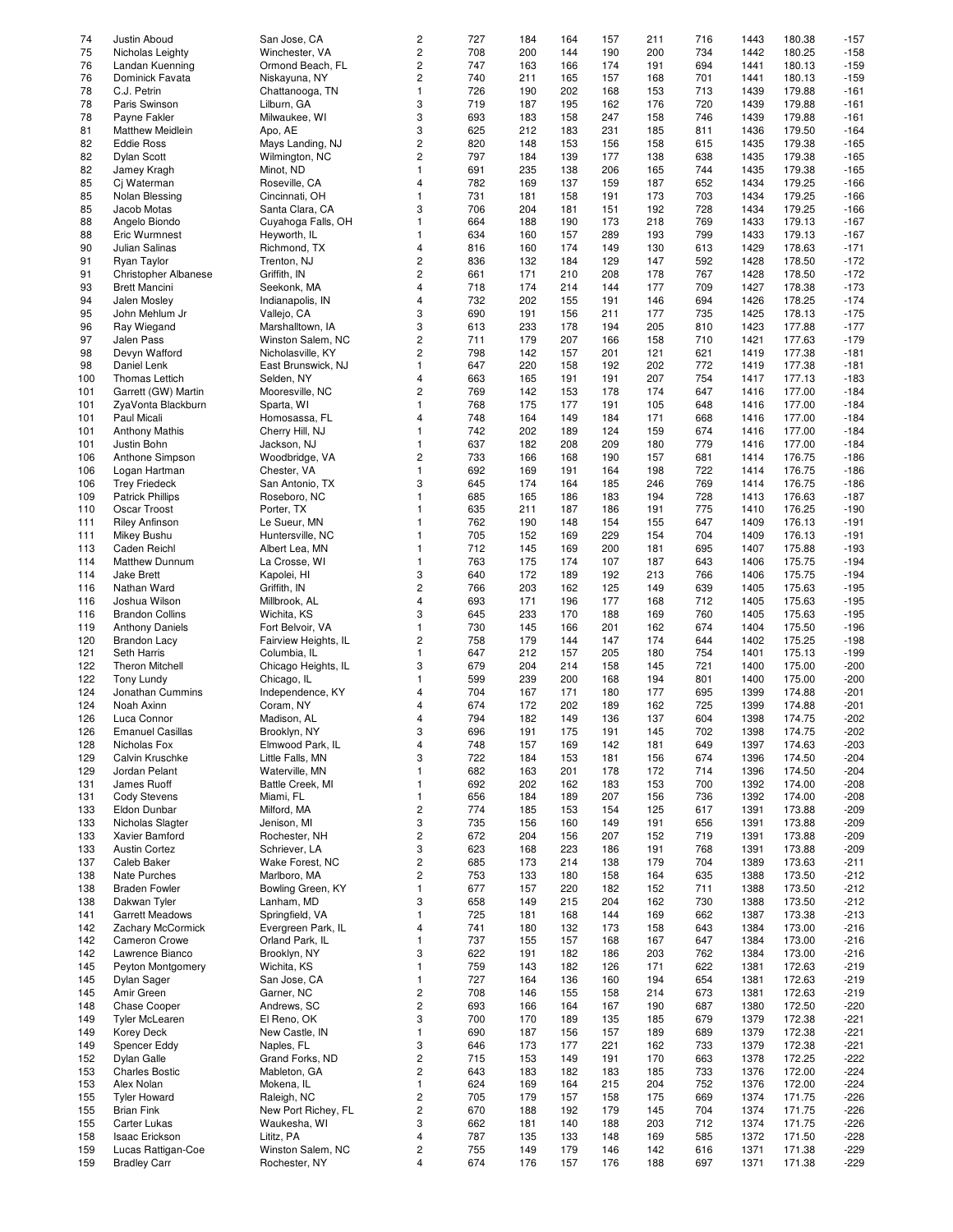| 74  | Justin Aboud                | San Jose, CA         | 2                       | 727 | 184 | 164 | 157 | 211 | 716 | 1443 | 180.38 | $-157$ |
|-----|-----------------------------|----------------------|-------------------------|-----|-----|-----|-----|-----|-----|------|--------|--------|
|     |                             |                      | $\overline{\mathbf{c}}$ |     | 200 |     |     |     |     |      | 180.25 |        |
| 75  | Nicholas Leighty            | Winchester, VA       |                         | 708 |     | 144 | 190 | 200 | 734 | 1442 |        | $-158$ |
| 76  | Landan Kuenning             | Ormond Beach, FL     | $\overline{\mathbf{c}}$ | 747 | 163 | 166 | 174 | 191 | 694 | 1441 | 180.13 | $-159$ |
| 76  | Dominick Favata             | Niskayuna, NY        | $\overline{c}$          | 740 | 211 | 165 | 157 | 168 | 701 | 1441 | 180.13 | $-159$ |
| 78  | C.J. Petrin                 | Chattanooga, TN      | $\mathbf{1}$            | 726 | 190 | 202 | 168 | 153 | 713 | 1439 | 179.88 | $-161$ |
|     |                             |                      |                         |     |     |     |     |     |     |      |        |        |
| 78  | Paris Swinson               | Lilburn, GA          | 3                       | 719 | 187 | 195 | 162 | 176 | 720 | 1439 | 179.88 | $-161$ |
| 78  | Payne Fakler                | Milwaukee, WI        | 3                       | 693 | 183 | 158 | 247 | 158 | 746 | 1439 | 179.88 | $-161$ |
| 81  | <b>Matthew Meidlein</b>     | Apo, AE              | 3                       | 625 | 212 | 183 | 231 | 185 | 811 | 1436 | 179.50 | $-164$ |
| 82  | <b>Eddie Ross</b>           | Mays Landing, NJ     | $\overline{\mathbf{c}}$ | 820 | 148 | 153 | 156 | 158 | 615 | 1435 | 179.38 | $-165$ |
|     |                             |                      |                         |     |     |     |     |     |     |      |        |        |
| 82  | <b>Dylan Scott</b>          | Wilmington, NC       | $\overline{c}$          | 797 | 184 | 139 | 177 | 138 | 638 | 1435 | 179.38 | $-165$ |
| 82  | Jamey Kragh                 | Minot, ND            | $\mathbf{1}$            | 691 | 235 | 138 | 206 | 165 | 744 | 1435 | 179.38 | $-165$ |
| 85  | Cj Waterman                 | Roseville, CA        | $\overline{4}$          | 782 | 169 | 137 | 159 | 187 | 652 | 1434 | 179.25 | $-166$ |
|     |                             |                      |                         |     |     |     |     |     |     |      |        |        |
| 85  | Nolan Blessing              | Cincinnati, OH       | $\mathbf{1}$            | 731 | 181 | 158 | 191 | 173 | 703 | 1434 | 179.25 | $-166$ |
| 85  | Jacob Motas                 | Santa Clara, CA      | 3                       | 706 | 204 | 181 | 151 | 192 | 728 | 1434 | 179.25 | $-166$ |
| 88  | Angelo Biondo               | Cuyahoga Falls, OH   | $\mathbf{1}$            | 664 | 188 | 190 | 173 | 218 | 769 | 1433 | 179.13 | $-167$ |
|     |                             |                      |                         |     |     |     |     |     |     |      |        |        |
| 88  | Eric Wurmnest               | Heyworth, IL         | $\mathbf{1}$            | 634 | 160 | 157 | 289 | 193 | 799 | 1433 | 179.13 | $-167$ |
| 90  | Julian Salinas              | Richmond, TX         | $\overline{\mathbf{4}}$ | 816 | 160 | 174 | 149 | 130 | 613 | 1429 | 178.63 | $-171$ |
| 91  | Ryan Taylor                 | Trenton, NJ          | $\overline{c}$          | 836 | 132 | 184 | 129 | 147 | 592 | 1428 | 178.50 | $-172$ |
| 91  |                             |                      | $\overline{c}$          |     | 171 | 210 | 208 | 178 | 767 |      |        |        |
|     | <b>Christopher Albanese</b> | Griffith, IN         |                         | 661 |     |     |     |     |     | 1428 | 178.50 | $-172$ |
| 93  | <b>Brett Mancini</b>        | Seekonk, MA          | $\overline{\mathbf{4}}$ | 718 | 174 | 214 | 144 | 177 | 709 | 1427 | 178.38 | $-173$ |
| 94  | Jalen Mosley                | Indianapolis, IN     | $\overline{\mathbf{4}}$ | 732 | 202 | 155 | 191 | 146 | 694 | 1426 | 178.25 | $-174$ |
| 95  | John Mehlum Jr              | Vallejo, CA          | 3                       | 690 | 191 |     | 211 | 177 | 735 | 1425 | 178.13 | $-175$ |
|     |                             |                      |                         |     |     | 156 |     |     |     |      |        |        |
| 96  | Ray Wiegand                 | Marshalltown, IA     | 3                       | 613 | 233 | 178 | 194 | 205 | 810 | 1423 | 177.88 | $-177$ |
| 97  | Jalen Pass                  | Winston Salem, NC    | $\overline{\mathbf{c}}$ | 711 | 179 | 207 | 166 | 158 | 710 | 1421 | 177.63 | $-179$ |
| 98  | Devyn Wafford               | Nicholasville, KY    | $\overline{c}$          | 798 | 142 | 157 | 201 | 121 | 621 | 1419 | 177.38 | $-181$ |
|     |                             |                      |                         |     |     |     |     |     |     |      |        |        |
| 98  | Daniel Lenk                 | East Brunswick, NJ   | $\mathbf{1}$            | 647 | 220 | 158 | 192 | 202 | 772 | 1419 | 177.38 | $-181$ |
| 100 | Thomas Lettich              | Selden, NY           | 4                       | 663 | 165 | 191 | 191 | 207 | 754 | 1417 | 177.13 | $-183$ |
| 101 | Garrett (GW) Martin         | Mooresville, NC      | $\overline{c}$          | 769 | 142 | 153 | 178 | 174 | 647 | 1416 | 177.00 | $-184$ |
|     |                             |                      |                         |     |     |     |     |     |     |      |        |        |
| 101 | ZyaVonta Blackburn          | Sparta, WI           | $\mathbf{1}$            | 768 | 175 | 177 | 191 | 105 | 648 | 1416 | 177.00 | $-184$ |
| 101 | Paul Micali                 | Homosassa, FL        | $\overline{4}$          | 748 | 164 | 149 | 184 | 171 | 668 | 1416 | 177.00 | $-184$ |
| 101 | <b>Anthony Mathis</b>       | Cherry Hill, NJ      | $\mathbf{1}$            | 742 | 202 | 189 | 124 | 159 | 674 | 1416 | 177.00 | $-184$ |
|     |                             |                      |                         |     |     |     |     |     |     |      |        |        |
| 101 | Justin Bohn                 | Jackson, NJ          | $\mathbf{1}$            | 637 | 182 | 208 | 209 | 180 | 779 | 1416 | 177.00 | $-184$ |
| 106 | Anthone Simpson             | Woodbridge, VA       | $\overline{c}$          | 733 | 166 | 168 | 190 | 157 | 681 | 1414 | 176.75 | $-186$ |
| 106 | Logan Hartman               | Chester, VA          | $\mathbf{1}$            | 692 | 169 | 191 | 164 | 198 | 722 | 1414 | 176.75 | $-186$ |
| 106 | <b>Trey Friedeck</b>        | San Antonio, TX      | 3                       | 645 | 174 | 164 | 185 | 246 | 769 | 1414 | 176.75 | $-186$ |
|     |                             |                      |                         |     |     |     |     |     |     |      |        |        |
| 109 | <b>Patrick Phillips</b>     | Roseboro, NC         | $\mathbf{1}$            | 685 | 165 | 186 | 183 | 194 | 728 | 1413 | 176.63 | $-187$ |
| 110 | Oscar Troost                | Porter, TX           | $\mathbf{1}$            | 635 | 211 | 187 | 186 | 191 | 775 | 1410 | 176.25 | $-190$ |
| 111 | <b>Riley Anfinson</b>       | Le Sueur, MN         | $\mathbf{1}$            | 762 | 190 | 148 | 154 | 155 | 647 | 1409 | 176.13 | $-191$ |
|     |                             |                      |                         |     |     |     |     |     |     |      |        |        |
| 111 | Mikey Bushu                 | Huntersville, NC     | $\mathbf{1}$            | 705 | 152 | 169 | 229 | 154 | 704 | 1409 | 176.13 | $-191$ |
| 113 | Caden Reichl                | Albert Lea, MN       | $\mathbf{1}$            | 712 | 145 | 169 | 200 | 181 | 695 | 1407 | 175.88 | $-193$ |
| 114 | <b>Matthew Dunnum</b>       | La Crosse, WI        | $\mathbf{1}$            | 763 | 175 | 174 | 107 | 187 | 643 | 1406 | 175.75 | $-194$ |
|     |                             |                      |                         |     |     |     |     |     |     |      |        |        |
| 114 | <b>Jake Brett</b>           | Kapolei, HI          | 3                       | 640 | 172 | 189 | 192 | 213 | 766 | 1406 | 175.75 | $-194$ |
| 116 | Nathan Ward                 | Griffith, IN         | $\overline{\mathbf{c}}$ | 766 | 203 | 162 | 125 | 149 | 639 | 1405 | 175.63 | $-195$ |
| 116 | Joshua Wilson               | Millbrook, AL        | $\overline{\mathbf{4}}$ | 693 | 171 | 196 | 177 | 168 | 712 | 1405 | 175.63 | $-195$ |
| 116 |                             |                      | 3                       |     |     |     |     |     | 760 |      |        |        |
|     | <b>Brandon Collins</b>      | Wichita, KS          |                         | 645 | 233 | 170 | 188 | 169 |     | 1405 | 175.63 | $-195$ |
| 119 | <b>Anthony Daniels</b>      | Fort Belvoir, VA     | $\mathbf{1}$            | 730 | 145 | 166 | 201 | 162 | 674 | 1404 | 175.50 | $-196$ |
| 120 | <b>Brandon Lacy</b>         | Fairview Heights, IL | $\overline{\mathbf{c}}$ | 758 | 179 | 144 | 147 | 174 | 644 | 1402 | 175.25 | $-198$ |
| 121 | Seth Harris                 | Columbia, IL         | $\mathbf{1}$            | 647 | 212 | 157 | 205 | 180 | 754 | 1401 | 175.13 | $-199$ |
|     |                             |                      |                         |     |     |     |     |     |     |      |        |        |
| 122 | <b>Theron Mitchell</b>      | Chicago Heights, IL  | 3                       | 679 | 204 | 214 | 158 | 145 | 721 | 1400 | 175.00 | $-200$ |
| 122 | <b>Tony Lundy</b>           | Chicago, IL          | $\mathbf{1}$            | 599 | 239 | 200 | 168 | 194 | 801 | 1400 | 175.00 | $-200$ |
| 124 | Jonathan Cummins            | Independence, KY     | 4                       | 704 | 167 | 171 | 180 | 177 | 695 | 1399 | 174.88 | $-201$ |
|     |                             |                      |                         |     |     |     |     |     |     |      |        |        |
| 124 | Noah Axinn                  | Coram, NY            | $\overline{4}$          | 674 | 172 | 202 | 189 | 162 | 725 | 1399 | 174.88 | $-201$ |
| 126 | Luca Connor                 | Madison, AL          | $\overline{4}$          | 794 | 182 | 149 | 136 | 137 | 604 | 1398 | 174.75 | $-202$ |
| 126 | <b>Emanuel Casillas</b>     | Brooklyn, NY         | 3                       | 696 | 191 | 175 | 191 | 145 | 702 | 1398 | 174.75 | $-202$ |
|     |                             |                      |                         |     |     |     |     |     |     |      |        |        |
| 128 | Nicholas Fox                | Elmwood Park, IL     | 4                       | 748 | 157 | 169 | 142 | 181 | 649 | 1397 | 174.63 | $-203$ |
| 129 | Calvin Kruschke             | Little Falls, MN     | 3                       | 722 | 184 | 153 | 181 | 156 | 674 | 1396 | 174.50 | $-204$ |
| 129 | Jordan Pelant               | Waterville, MN       | $\mathbf{1}$            | 682 | 163 | 201 | 178 | 172 | 714 | 1396 | 174.50 | $-204$ |
|     |                             |                      |                         |     |     |     |     |     |     |      |        |        |
| 131 | James Ruoff                 | Battle Creek, MI     | $\mathbf{1}$            | 692 | 202 | 162 | 183 | 153 | 700 | 1392 | 174.00 | $-208$ |
| 131 | <b>Cody Stevens</b>         | Miami, FL            | $\mathbf{1}$            | 656 | 184 | 189 | 207 | 156 | 736 | 1392 | 174.00 | $-208$ |
| 133 | Eldon Dunbar                | Milford, MA          | $\overline{\mathbf{c}}$ | 774 | 185 | 153 | 154 | 125 | 617 | 1391 | 173.88 | $-209$ |
| 133 | Nicholas Slagter            | Jenison, MI          | 3                       | 735 | 156 | 160 | 149 | 191 | 656 | 1391 | 173.88 | $-209$ |
|     |                             |                      |                         |     |     |     |     |     |     |      |        |        |
| 133 | Xavier Bamford              | Rochester, NH        | $\overline{\mathbf{c}}$ | 672 | 204 | 156 | 207 | 152 | 719 | 1391 | 173.88 | $-209$ |
| 133 | Austin Cortez               | Schriever, LA        | 3                       | 623 | 168 | 223 | 186 | 191 | 768 | 1391 | 173.88 | $-209$ |
| 137 | Caleb Baker                 | Wake Forest, NC      | $\overline{\mathbf{c}}$ | 685 | 173 | 214 | 138 | 179 | 704 | 1389 | 173.63 | $-211$ |
|     |                             |                      |                         |     |     |     |     |     |     |      |        |        |
| 138 | <b>Nate Purches</b>         | Marlboro, MA         | $\overline{\mathbf{c}}$ | 753 | 133 | 180 | 158 | 164 | 635 | 1388 | 173.50 | $-212$ |
| 138 | <b>Braden Fowler</b>        | Bowling Green, KY    | $\mathbf{1}$            | 677 | 157 | 220 | 182 | 152 | 711 | 1388 | 173.50 | $-212$ |
| 138 | Dakwan Tyler                | Lanham, MD           | 3                       | 658 | 149 | 215 | 204 | 162 | 730 | 1388 | 173.50 | -212   |
|     |                             |                      |                         |     |     |     |     |     |     |      |        |        |
| 141 | <b>Garrett Meadows</b>      | Springfield, VA      | $\mathbf{1}$            | 725 | 181 | 168 | 144 | 169 | 662 | 1387 | 173.38 | $-213$ |
| 142 | Zachary McCormick           | Evergreen Park, IL   | 4                       | 741 | 180 | 132 | 173 | 158 | 643 | 1384 | 173.00 | $-216$ |
| 142 | Cameron Crowe               | Orland Park, IL      | $\mathbf{1}$            | 737 | 155 | 157 | 168 | 167 | 647 | 1384 | 173.00 | $-216$ |
|     | Lawrence Bianco             |                      |                         | 622 |     | 182 |     |     |     |      |        |        |
| 142 |                             | Brooklyn, NY         | 3                       |     | 191 |     | 186 | 203 | 762 | 1384 | 173.00 | $-216$ |
| 145 | Peyton Montgomery           | Wichita, KS          | 1                       | 759 | 143 | 182 | 126 | 171 | 622 | 1381 | 172.63 | $-219$ |
| 145 | Dylan Sager                 | San Jose, CA         | $\mathbf{1}$            | 727 | 164 | 136 | 160 | 194 | 654 | 1381 | 172.63 | $-219$ |
| 145 | Amir Green                  | Garner, NC           | $\overline{\mathbf{c}}$ | 708 | 146 | 155 | 158 | 214 | 673 | 1381 | 172.63 | $-219$ |
|     |                             |                      |                         |     |     |     |     |     |     |      |        |        |
| 148 | Chase Cooper                | Andrews, SC          | $\overline{\mathbf{c}}$ | 693 | 166 | 164 | 167 | 190 | 687 | 1380 | 172.50 | $-220$ |
| 149 | <b>Tyler McLearen</b>       | El Reno, OK          | 3                       | 700 | 170 | 189 | 135 | 185 | 679 | 1379 | 172.38 | -221   |
| 149 | <b>Korey Deck</b>           | New Castle, IN       | 1                       | 690 | 187 | 156 | 157 | 189 | 689 | 1379 | 172.38 | -221   |
|     |                             |                      |                         |     |     |     |     |     |     |      |        |        |
| 149 | Spencer Eddy                | Naples, FL           | 3                       | 646 | 173 | 177 | 221 | 162 | 733 | 1379 | 172.38 | $-221$ |
| 152 | Dylan Galle                 | Grand Forks, ND      | $\overline{\mathbf{c}}$ | 715 | 153 | 149 | 191 | 170 | 663 | 1378 | 172.25 | $-222$ |
| 153 | <b>Charles Bostic</b>       | Mableton, GA         | $\overline{\mathbf{c}}$ | 643 | 183 | 182 | 183 | 185 | 733 | 1376 | 172.00 | -224   |
|     |                             |                      |                         |     |     |     |     |     |     |      |        |        |
| 153 | Alex Nolan                  | Mokena, IL           | $\mathbf{1}$            | 624 | 169 | 164 | 215 | 204 | 752 | 1376 | 172.00 | $-224$ |
| 155 | <b>Tyler Howard</b>         | Raleigh, NC          | $\overline{\mathbf{c}}$ | 705 | 179 | 157 | 158 | 175 | 669 | 1374 | 171.75 | $-226$ |
| 155 | <b>Brian Fink</b>           | New Port Richey, FL  | $\overline{\mathbf{c}}$ | 670 | 188 | 192 | 179 | 145 | 704 | 1374 | 171.75 | $-226$ |
| 155 | Carter Lukas                | Waukesha, WI         | 3                       | 662 | 181 | 140 | 188 | 203 | 712 | 1374 | 171.75 | $-226$ |
|     |                             |                      |                         |     |     |     |     |     |     |      |        |        |
| 158 | Isaac Erickson              | Lititz, PA           | 4                       | 787 | 135 | 133 | 148 | 169 | 585 | 1372 | 171.50 | $-228$ |
| 159 | Lucas Rattigan-Coe          | Winston Salem, NC    | 2                       | 755 | 149 | 179 | 146 | 142 | 616 | 1371 | 171.38 | $-229$ |
|     | <b>Bradley Carr</b>         | Rochester, NY        | 4                       | 674 | 176 | 157 | 176 | 188 | 697 | 1371 | 171.38 | $-229$ |
| 159 |                             |                      |                         |     |     |     |     |     |     |      |        |        |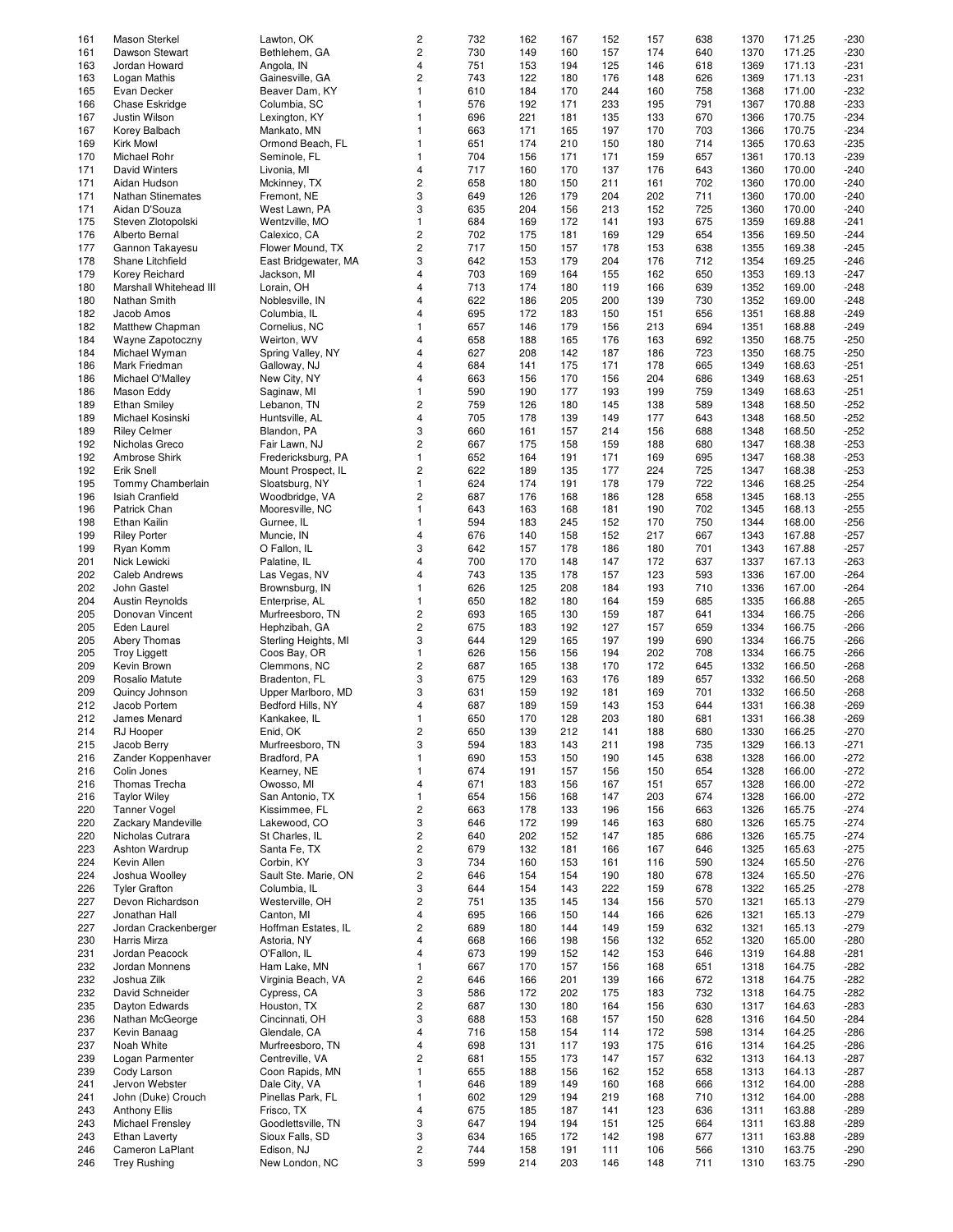| 161 | Mason Sterkel            | Lawton, OK           | 2                       | 732 | 162 | 167 | 152 | 157 | 638 | 1370 | 171.25 | $-230$ |
|-----|--------------------------|----------------------|-------------------------|-----|-----|-----|-----|-----|-----|------|--------|--------|
|     |                          |                      | $\mathbf 2$             |     |     |     |     |     |     |      |        |        |
| 161 | Dawson Stewart           | Bethlehem, GA        |                         | 730 | 149 | 160 | 157 | 174 | 640 | 1370 | 171.25 | $-230$ |
| 163 | Jordan Howard            | Angola, IN           | 4                       | 751 | 153 | 194 | 125 | 146 | 618 | 1369 | 171.13 | $-231$ |
| 163 | Logan Mathis             | Gainesville, GA      | $\overline{c}$          | 743 | 122 | 180 | 176 | 148 | 626 | 1369 | 171.13 | $-231$ |
| 165 | Evan Decker              | Beaver Dam, KY       | $\mathbf{1}$            | 610 | 184 | 170 | 244 | 160 | 758 | 1368 | 171.00 | $-232$ |
| 166 |                          | Columbia, SC         | $\mathbf{1}$            | 576 | 192 | 171 | 233 | 195 | 791 | 1367 | 170.88 | $-233$ |
|     | Chase Eskridge           |                      |                         |     |     |     |     |     |     |      |        |        |
| 167 | Justin Wilson            | Lexington, KY        | $\mathbf{1}$            | 696 | 221 | 181 | 135 | 133 | 670 | 1366 | 170.75 | $-234$ |
| 167 | Korey Balbach            | Mankato, MN          | $\mathbf{1}$            | 663 | 171 | 165 | 197 | 170 | 703 | 1366 | 170.75 | $-234$ |
| 169 | <b>Kirk Mowl</b>         | Ormond Beach, FL     | $\mathbf{1}$            | 651 | 174 | 210 | 150 | 180 | 714 | 1365 | 170.63 | $-235$ |
|     |                          |                      |                         |     |     |     |     |     |     |      |        |        |
| 170 | Michael Rohr             | Seminole, FL         | $\mathbf{1}$            | 704 | 156 | 171 | 171 | 159 | 657 | 1361 | 170.13 | $-239$ |
| 171 | David Winters            | Livonia, MI          | $\overline{4}$          | 717 | 160 | 170 | 137 | 176 | 643 | 1360 | 170.00 | $-240$ |
| 171 | Aidan Hudson             | Mckinney, TX         | $\mathbf 2$             | 658 | 180 | 150 | 211 | 161 | 702 | 1360 | 170.00 | $-240$ |
|     |                          |                      | 3                       |     |     |     |     |     |     |      |        |        |
| 171 | <b>Nathan Stinemates</b> | Fremont, NE          |                         | 649 | 126 | 179 | 204 | 202 | 711 | 1360 | 170.00 | $-240$ |
| 171 | Aidan D'Souza            | West Lawn, PA        | 3                       | 635 | 204 | 156 | 213 | 152 | 725 | 1360 | 170.00 | $-240$ |
| 175 | Steven Zlotopolski       | Wentzville, MO       | $\mathbf{1}$            | 684 | 169 | 172 | 141 | 193 | 675 | 1359 | 169.88 | $-241$ |
| 176 | Alberto Bernal           | Calexico, CA         | $\mathbf 2$             | 702 | 175 | 181 | 169 | 129 | 654 | 1356 | 169.50 | $-244$ |
|     |                          |                      |                         |     |     |     |     |     |     |      |        |        |
| 177 | Gannon Takayesu          | Flower Mound, TX     | $\mathbf 2$             | 717 | 150 | 157 | 178 | 153 | 638 | 1355 | 169.38 | $-245$ |
| 178 | Shane Litchfield         | East Bridgewater, MA | 3                       | 642 | 153 | 179 | 204 | 176 | 712 | 1354 | 169.25 | $-246$ |
| 179 | Korey Reichard           | Jackson, MI          | $\overline{4}$          | 703 | 169 | 164 | 155 | 162 | 650 | 1353 | 169.13 | $-247$ |
| 180 | Marshall Whitehead III   | Lorain, OH           | $\overline{4}$          | 713 | 174 | 180 | 119 | 166 | 639 | 1352 | 169.00 | $-248$ |
|     |                          |                      |                         |     |     |     |     |     |     |      |        |        |
| 180 | Nathan Smith             | Noblesville, IN      | $\overline{4}$          | 622 | 186 | 205 | 200 | 139 | 730 | 1352 | 169.00 | $-248$ |
| 182 | Jacob Amos               | Columbia, IL         | $\overline{4}$          | 695 | 172 | 183 | 150 | 151 | 656 | 1351 | 168.88 | $-249$ |
| 182 | Matthew Chapman          | Cornelius, NC        | $\mathbf{1}$            | 657 | 146 | 179 | 156 | 213 | 694 | 1351 | 168.88 | $-249$ |
|     |                          |                      |                         |     |     |     |     |     |     |      |        |        |
| 184 | Wayne Zapotoczny         | Weirton, WV          | $\overline{4}$          | 658 | 188 | 165 | 176 | 163 | 692 | 1350 | 168.75 | $-250$ |
| 184 | Michael Wyman            | Spring Valley, NY    | $\overline{4}$          | 627 | 208 | 142 | 187 | 186 | 723 | 1350 | 168.75 | $-250$ |
| 186 | Mark Friedman            | Galloway, NJ         | $\overline{4}$          | 684 | 141 | 175 | 171 | 178 | 665 | 1349 | 168.63 | $-251$ |
|     |                          |                      | $\overline{4}$          |     |     |     |     |     |     |      |        |        |
| 186 | Michael O'Malley         | New City, NY         |                         | 663 | 156 | 170 | 156 | 204 | 686 | 1349 | 168.63 | $-251$ |
| 186 | Mason Eddy               | Saginaw, MI          | $\mathbf{1}$            | 590 | 190 | 177 | 193 | 199 | 759 | 1349 | 168.63 | $-251$ |
| 189 | <b>Ethan Smiley</b>      | Lebanon, TN          | $\overline{c}$          | 759 | 126 | 180 | 145 | 138 | 589 | 1348 | 168.50 | $-252$ |
| 189 | Michael Kosinski         | Huntsville, AL       | 4                       | 705 | 178 | 139 | 149 | 177 | 643 | 1348 | 168.50 | $-252$ |
|     |                          |                      |                         |     |     |     |     |     |     |      |        |        |
| 189 | <b>Riley Celmer</b>      | Blandon, PA          | 3                       | 660 | 161 | 157 | 214 | 156 | 688 | 1348 | 168.50 | $-252$ |
| 192 | Nicholas Greco           | Fair Lawn, NJ        | $\mathbf{2}$            | 667 | 175 | 158 | 159 | 188 | 680 | 1347 | 168.38 | $-253$ |
| 192 | Ambrose Shirk            | Fredericksburg, PA   | $\mathbf{1}$            | 652 | 164 | 191 | 171 | 169 | 695 | 1347 | 168.38 | $-253$ |
|     |                          |                      |                         |     |     |     |     |     |     |      |        |        |
| 192 | Erik Snell               | Mount Prospect, IL   | $\mathbf{2}$            | 622 | 189 | 135 | 177 | 224 | 725 | 1347 | 168.38 | $-253$ |
| 195 | Tommy Chamberlain        | Sloatsburg, NY       | $\mathbf{1}$            | 624 | 174 | 191 | 178 | 179 | 722 | 1346 | 168.25 | $-254$ |
| 196 | <b>Isiah Cranfield</b>   | Woodbridge, VA       | $\mathbf{2}$            | 687 | 176 | 168 | 186 | 128 | 658 | 1345 | 168.13 | $-255$ |
|     |                          |                      |                         |     |     |     |     |     |     |      |        |        |
| 196 | Patrick Chan             | Mooresville, NC      | $\mathbf{1}$            | 643 | 163 | 168 | 181 | 190 | 702 | 1345 | 168.13 | $-255$ |
| 198 | Ethan Kailin             | Gurnee, IL           | $\mathbf{1}$            | 594 | 183 | 245 | 152 | 170 | 750 | 1344 | 168.00 | $-256$ |
| 199 | <b>Riley Porter</b>      | Muncie, IN           | $\overline{4}$          | 676 | 140 | 158 | 152 | 217 | 667 | 1343 | 167.88 | $-257$ |
| 199 |                          | O Fallon, IL         | 3                       | 642 | 157 | 178 | 186 | 180 | 701 | 1343 | 167.88 | $-257$ |
|     | Ryan Komm                |                      |                         |     |     |     |     |     |     |      |        |        |
| 201 | Nick Lewicki             | Palatine, IL         | $\overline{4}$          | 700 | 170 | 148 | 147 | 172 | 637 | 1337 | 167.13 | $-263$ |
| 202 | Caleb Andrews            | Las Vegas, NV        | $\overline{4}$          | 743 | 135 | 178 | 157 | 123 | 593 | 1336 | 167.00 | $-264$ |
| 202 | John Gastel              | Brownsburg, IN       | $\mathbf{1}$            | 626 | 125 | 208 | 184 | 193 | 710 | 1336 | 167.00 | $-264$ |
|     |                          |                      |                         |     |     |     |     |     |     |      |        |        |
| 204 | <b>Austin Reynolds</b>   | Enterprise, AL       | $\mathbf{1}$            | 650 | 182 | 180 | 164 | 159 | 685 | 1335 | 166.88 | $-265$ |
| 205 | Donovan Vincent          | Murfreesboro, TN     | $\mathbf 2$             | 693 | 165 | 130 | 159 | 187 | 641 | 1334 | 166.75 | $-266$ |
| 205 | Eden Laurel              | Hephzibah, GA        | $\sqrt{2}$              | 675 | 183 | 192 | 127 | 157 | 659 | 1334 | 166.75 | $-266$ |
| 205 |                          |                      | 3                       |     |     |     |     |     |     |      | 166.75 |        |
|     | Abery Thomas             | Sterling Heights, MI |                         | 644 | 129 | 165 | 197 | 199 | 690 | 1334 |        | $-266$ |
| 205 | <b>Troy Liggett</b>      | Coos Bay, OR         | $\mathbf{1}$            | 626 | 156 | 156 | 194 | 202 | 708 | 1334 | 166.75 | $-266$ |
| 209 | Kevin Brown              | Clemmons, NC         | $\mathbf 2$             | 687 | 165 | 138 | 170 | 172 | 645 | 1332 | 166.50 | $-268$ |
| 209 | Rosalio Matute           | Bradenton, FL        | 3                       | 675 | 129 | 163 | 176 | 189 | 657 | 1332 | 166.50 | $-268$ |
|     |                          |                      |                         |     |     |     |     |     |     |      |        |        |
| 209 | Quincy Johnson           | Upper Marlboro, MD   | 3                       | 631 | 159 | 192 | 181 | 169 | 701 | 1332 | 166.50 | $-268$ |
| 212 | Jacob Portem             | Bedford Hills, NY    | $\overline{4}$          | 687 | 189 | 159 | 143 | 153 | 644 | 1331 | 166.38 | $-269$ |
| 212 | James Menard             | Kankakee, IL         | $\mathbf{1}$            | 650 | 170 | 128 | 203 | 180 | 681 | 1331 | 166.38 | $-269$ |
|     |                          |                      |                         |     |     |     |     |     |     |      |        |        |
| 214 | RJ Hooper                | Enid, OK             | $\overline{c}$          | 650 | 139 | 212 | 141 | 188 | 680 | 1330 | 166.25 | -270   |
| 215 | Jacob Berry              | Murfreesboro, TN     | 3                       | 594 | 183 | 143 | 211 | 198 | 735 | 1329 | 166.13 | $-271$ |
| 216 | Zander Koppenhaver       | Bradford, PA         | $\mathbf{1}$            | 690 | 153 | 150 | 190 | 145 | 638 | 1328 | 166.00 | $-272$ |
|     |                          |                      |                         |     |     |     |     |     |     |      |        |        |
| 216 | Colin Jones              | Kearney, NE          | $\mathbf{1}$            | 674 | 191 | 157 | 156 | 150 | 654 | 1328 | 166.00 | $-272$ |
| 216 | Thomas Trecha            | Owosso, MI           | $\overline{4}$          | 671 | 183 | 156 | 167 | 151 | 657 | 1328 | 166.00 | $-272$ |
| 216 | <b>Taylor Wiley</b>      | San Antonio, TX      | $\mathbf{1}$            | 654 | 156 | 168 | 147 | 203 | 674 | 1328 | 166.00 | $-272$ |
| 220 | <b>Tanner Vogel</b>      | Kissimmee, FL        | $\sqrt{2}$              | 663 | 178 | 133 | 196 | 156 | 663 | 1326 | 165.75 | $-274$ |
|     |                          |                      |                         |     |     |     |     |     |     |      |        |        |
| 220 | Zackary Mandeville       | Lakewood, CO         | 3                       | 646 | 172 | 199 | 146 | 163 | 680 | 1326 | 165.75 | $-274$ |
| 220 | Nicholas Cutrara         | St Charles, IL       | $\sqrt{2}$              | 640 | 202 | 152 | 147 | 185 | 686 | 1326 | 165.75 | $-274$ |
| 223 | Ashton Wardrup           | Santa Fe, TX         | $\sqrt{2}$              | 679 | 132 | 181 | 166 | 167 | 646 | 1325 | 165.63 | $-275$ |
|     | Kevin Allen              |                      | 3                       |     |     |     |     |     |     |      |        |        |
| 224 |                          | Corbin, KY           |                         | 734 | 160 | 153 | 161 | 116 | 590 | 1324 | 165.50 | $-276$ |
| 224 | Joshua Woolley           | Sault Ste. Marie, ON | $\mathbf 2$             | 646 | 154 | 154 | 190 | 180 | 678 | 1324 | 165.50 | $-276$ |
| 226 | <b>Tyler Grafton</b>     | Columbia, IL         | 3                       | 644 | 154 | 143 | 222 | 159 | 678 | 1322 | 165.25 | $-278$ |
| 227 | Devon Richardson         | Westerville, OH      | $\sqrt{2}$              | 751 | 135 | 145 | 134 | 156 | 570 | 1321 | 165.13 | $-279$ |
|     |                          |                      |                         |     |     |     |     |     |     |      |        |        |
| 227 | Jonathan Hall            | Canton, MI           | 4                       | 695 | 166 | 150 | 144 | 166 | 626 | 1321 | 165.13 | $-279$ |
| 227 | Jordan Crackenberger     | Hoffman Estates, IL  | $\sqrt{2}$              | 689 | 180 | 144 | 149 | 159 | 632 | 1321 | 165.13 | $-279$ |
| 230 | Harris Mirza             | Astoria, NY          | $\overline{4}$          | 668 | 166 | 198 | 156 | 132 | 652 | 1320 | 165.00 | $-280$ |
|     |                          |                      |                         |     |     |     |     |     |     |      |        |        |
| 231 | Jordan Peacock           | O'Fallon, IL         | $\overline{4}$          | 673 | 199 | 152 | 142 | 153 | 646 | 1319 | 164.88 | $-281$ |
| 232 | Jordan Monnens           | Ham Lake, MN         | $\mathbf{1}$            | 667 | 170 | 157 | 156 | 168 | 651 | 1318 | 164.75 | $-282$ |
| 232 | Joshua Zilk              | Virginia Beach, VA   | $\sqrt{2}$              | 646 | 166 | 201 | 139 | 166 | 672 | 1318 | 164.75 | $-282$ |
|     |                          |                      |                         |     |     |     |     |     |     |      |        |        |
| 232 | David Schneider          | Cypress, CA          | 3                       | 586 | 172 | 202 | 175 | 183 | 732 | 1318 | 164.75 | $-282$ |
| 235 | Dayton Edwards           | Houston, TX          | $\sqrt{2}$              | 687 | 130 | 180 | 164 | 156 | 630 | 1317 | 164.63 | $-283$ |
| 236 | Nathan McGeorge          | Cincinnati, OH       | 3                       | 688 | 153 | 168 | 157 | 150 | 628 | 1316 | 164.50 | $-284$ |
| 237 | Kevin Banaag             | Glendale, CA         | $\overline{4}$          | 716 | 158 | 154 | 114 | 172 | 598 | 1314 | 164.25 | $-286$ |
|     |                          |                      |                         |     |     |     |     |     |     |      |        |        |
| 237 | Noah White               | Murfreesboro, TN     | 4                       | 698 | 131 | 117 | 193 | 175 | 616 | 1314 | 164.25 | $-286$ |
| 239 | Logan Parmenter          | Centreville, VA      | 2                       | 681 | 155 | 173 | 147 | 157 | 632 | 1313 | 164.13 | $-287$ |
| 239 | Cody Larson              | Coon Rapids, MN      | $\mathbf{1}$            | 655 | 188 | 156 | 162 | 152 | 658 | 1313 | 164.13 | $-287$ |
|     |                          |                      |                         |     |     |     |     |     |     |      |        |        |
| 241 | Jervon Webster           | Dale City, VA        | $\mathbf{1}$            | 646 | 189 | 149 | 160 | 168 | 666 | 1312 | 164.00 | $-288$ |
| 241 | John (Duke) Crouch       | Pinellas Park, FL    | $\mathbf{1}$            | 602 | 129 | 194 | 219 | 168 | 710 | 1312 | 164.00 | $-288$ |
| 243 | <b>Anthony Ellis</b>     | Frisco, TX           | 4                       | 675 | 185 | 187 | 141 | 123 | 636 | 1311 | 163.88 | $-289$ |
| 243 | Michael Frensley         | Goodlettsville, TN   | 3                       | 647 | 194 | 194 | 151 | 125 | 664 | 1311 | 163.88 | $-289$ |
|     |                          |                      |                         |     |     |     |     |     |     |      |        |        |
| 243 | <b>Ethan Laverty</b>     | Sioux Falls, SD      | 3                       | 634 | 165 | 172 | 142 | 198 | 677 | 1311 | 163.88 | $-289$ |
| 246 | Cameron LaPlant          | Edison, NJ           | $\overline{\mathbf{c}}$ | 744 | 158 | 191 | 111 | 106 | 566 | 1310 | 163.75 | $-290$ |
| 246 | <b>Trey Rushing</b>      | New London, NC       | 3                       | 599 | 214 | 203 | 146 | 148 | 711 | 1310 | 163.75 | -290   |
|     |                          |                      |                         |     |     |     |     |     |     |      |        |        |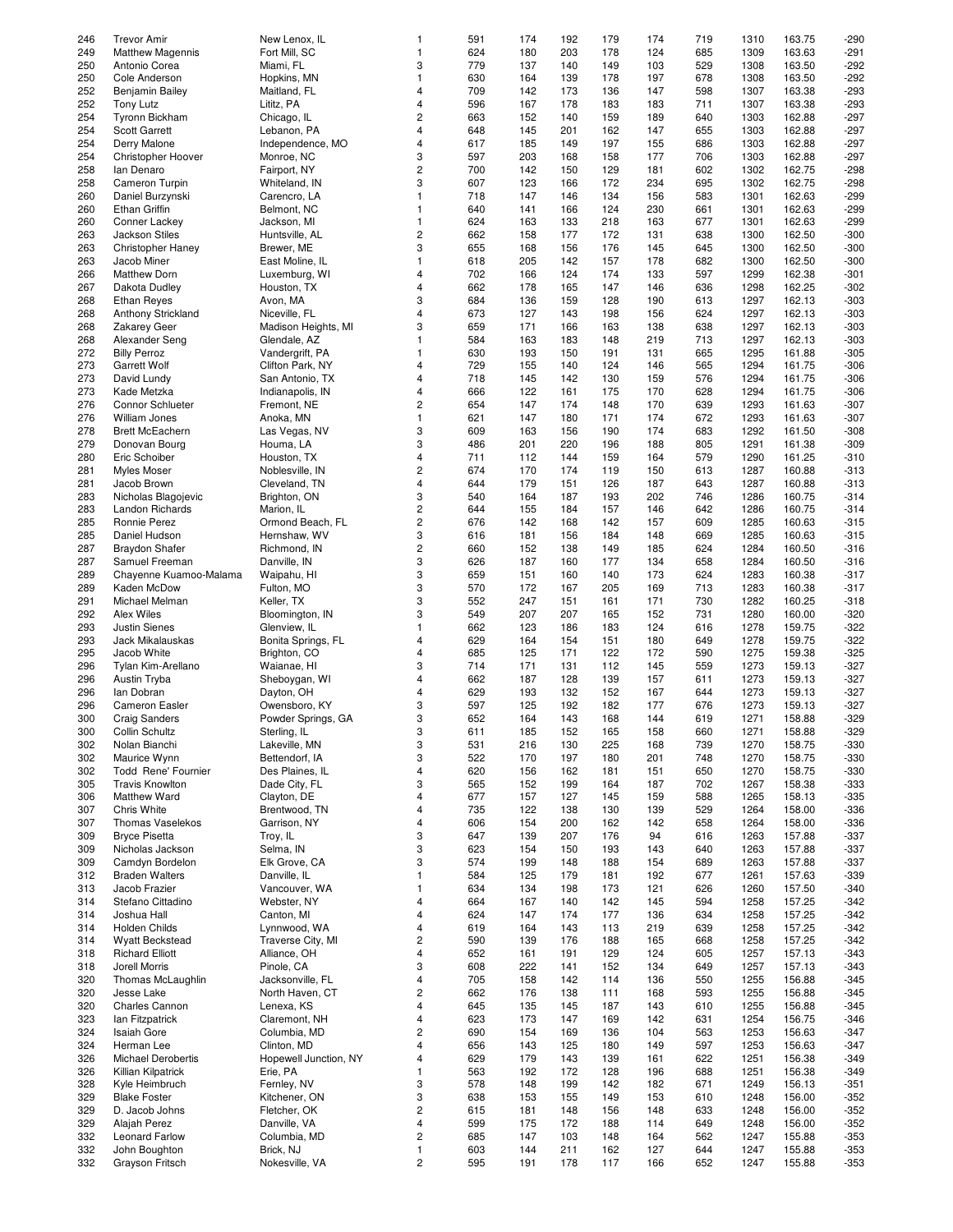| 246 | <b>Trevor Amir</b>       | New Lenox, IL         | 1                       | 591 | 174 | 192 | 179 | 174 | 719 | 1310 | 163.75 | $-290$ |
|-----|--------------------------|-----------------------|-------------------------|-----|-----|-----|-----|-----|-----|------|--------|--------|
|     |                          |                       |                         |     |     |     |     |     |     |      |        |        |
| 249 | <b>Matthew Magennis</b>  | Fort Mill, SC         | $\mathbf{1}$            | 624 | 180 | 203 | 178 | 124 | 685 | 1309 | 163.63 | $-291$ |
| 250 | Antonio Corea            | Miami, FL             | 3                       | 779 | 137 | 140 | 149 | 103 | 529 | 1308 | 163.50 | $-292$ |
|     |                          |                       | $\mathbf{1}$            |     |     |     |     |     |     |      |        |        |
| 250 | Cole Anderson            | Hopkins, MN           |                         | 630 | 164 | 139 | 178 | 197 | 678 | 1308 | 163.50 | $-292$ |
| 252 | Benjamin Bailey          | Maitland, FL          | $\overline{4}$          | 709 | 142 | 173 | 136 | 147 | 598 | 1307 | 163.38 | $-293$ |
| 252 | Tony Lutz                | Lititz, PA            | 4                       | 596 | 167 | 178 | 183 | 183 | 711 | 1307 | 163.38 | $-293$ |
|     |                          |                       |                         |     |     |     |     |     |     |      |        |        |
| 254 | Tyronn Bickham           | Chicago, IL           | $\overline{\mathbf{c}}$ | 663 | 152 | 140 | 159 | 189 | 640 | 1303 | 162.88 | $-297$ |
| 254 | <b>Scott Garrett</b>     | Lebanon, PA           | 4                       | 648 | 145 | 201 | 162 | 147 | 655 | 1303 | 162.88 | $-297$ |
|     |                          |                       |                         |     |     |     |     |     |     |      |        |        |
| 254 | Derry Malone             | Independence, MO      | $\overline{\mathbf{4}}$ | 617 | 185 | 149 | 197 | 155 | 686 | 1303 | 162.88 | $-297$ |
| 254 | Christopher Hoover       | Monroe, NC            | 3                       | 597 | 203 | 168 | 158 | 177 | 706 | 1303 | 162.88 | $-297$ |
| 258 | lan Denaro               | Fairport, NY          | $\overline{\mathbf{c}}$ | 700 | 142 | 150 | 129 | 181 | 602 | 1302 | 162.75 | $-298$ |
|     |                          |                       |                         |     |     |     |     |     |     |      |        |        |
| 258 | Cameron Turpin           | Whiteland, IN         | 3                       | 607 | 123 | 166 | 172 | 234 | 695 | 1302 | 162.75 | $-298$ |
| 260 | Daniel Burzynski         | Carencro, LA          | $\mathbf{1}$            | 718 | 147 | 146 | 134 | 156 | 583 | 1301 | 162.63 | $-299$ |
|     |                          |                       |                         |     |     |     |     |     |     |      |        |        |
| 260 | <b>Ethan Griffin</b>     | Belmont, NC           | $\mathbf{1}$            | 640 | 141 | 166 | 124 | 230 | 661 | 1301 | 162.63 | $-299$ |
| 260 | Conner Lackey            | Jackson, MI           | $\mathbf{1}$            | 624 | 163 | 133 | 218 | 163 | 677 | 1301 | 162.63 | $-299$ |
|     |                          |                       |                         |     |     |     |     |     |     |      |        |        |
| 263 | <b>Jackson Stiles</b>    | Huntsville, AL        | $\overline{\mathbf{c}}$ | 662 | 158 | 177 | 172 | 131 | 638 | 1300 | 162.50 | $-300$ |
| 263 | <b>Christopher Haney</b> | Brewer, ME            | 3                       | 655 | 168 | 156 | 176 | 145 | 645 | 1300 | 162.50 | $-300$ |
| 263 | Jacob Miner              | East Moline, IL       | $\mathbf{1}$            | 618 | 205 | 142 | 157 | 178 | 682 | 1300 | 162.50 | $-300$ |
|     |                          |                       |                         |     |     |     |     |     |     |      |        |        |
| 266 | <b>Matthew Dorn</b>      | Luxemburg, WI         | 4                       | 702 | 166 | 124 | 174 | 133 | 597 | 1299 | 162.38 | $-301$ |
| 267 | Dakota Dudley            | Houston, TX           | $\overline{4}$          | 662 | 178 | 165 | 147 | 146 | 636 | 1298 | 162.25 | $-302$ |
|     |                          |                       |                         |     |     |     |     |     |     |      |        |        |
| 268 | <b>Ethan Reyes</b>       | Avon, MA              | 3                       | 684 | 136 | 159 | 128 | 190 | 613 | 1297 | 162.13 | $-303$ |
| 268 | Anthony Strickland       | Niceville, FL         | $\overline{4}$          | 673 | 127 | 143 | 198 | 156 | 624 | 1297 | 162.13 | $-303$ |
| 268 | <b>Zakarey Geer</b>      | Madison Heights, MI   | 3                       | 659 | 171 | 166 | 163 | 138 | 638 | 1297 | 162.13 | $-303$ |
|     |                          |                       |                         |     |     |     |     |     |     |      |        |        |
| 268 | Alexander Seng           | Glendale, AZ          | $\mathbf{1}$            | 584 | 163 | 183 | 148 | 219 | 713 | 1297 | 162.13 | $-303$ |
| 272 | <b>Billy Perroz</b>      | Vandergrift, PA       | $\mathbf{1}$            | 630 | 193 | 150 | 191 | 131 | 665 | 1295 | 161.88 | $-305$ |
|     |                          |                       |                         |     |     |     |     |     |     |      |        |        |
| 273 | <b>Garrett Wolf</b>      | Clifton Park, NY      | 4                       | 729 | 155 | 140 | 124 | 146 | 565 | 1294 | 161.75 | $-306$ |
| 273 | David Lundy              | San Antonio, TX       | $\overline{4}$          | 718 | 145 | 142 | 130 | 159 | 576 | 1294 | 161.75 | $-306$ |
| 273 | Kade Metzka              | Indianapolis, IN      | 4                       | 666 | 122 | 161 | 175 | 170 | 628 | 1294 | 161.75 | $-306$ |
|     |                          |                       |                         |     |     |     |     |     |     |      |        |        |
| 276 | Connor Schlueter         | Fremont, NE           | $\overline{\mathbf{c}}$ | 654 | 147 | 174 | 148 | 170 | 639 | 1293 | 161.63 | $-307$ |
| 276 | <b>William Jones</b>     | Anoka, MN             | 1                       | 621 | 147 | 180 | 171 | 174 | 672 | 1293 | 161.63 | $-307$ |
|     |                          |                       |                         |     |     |     |     |     |     |      |        |        |
| 278 | <b>Brett McEachern</b>   | Las Vegas, NV         | 3                       | 609 | 163 | 156 | 190 | 174 | 683 | 1292 | 161.50 | $-308$ |
| 279 | Donovan Bourg            | Houma, LA             | 3                       | 486 | 201 | 220 | 196 | 188 | 805 | 1291 | 161.38 | $-309$ |
|     |                          |                       |                         |     |     |     |     |     |     |      |        |        |
| 280 | Eric Schoiber            | Houston, TX           | 4                       | 711 | 112 | 144 | 159 | 164 | 579 | 1290 | 161.25 | $-310$ |
| 281 | Myles Moser              | Noblesville, IN       | $\overline{\mathbf{c}}$ | 674 | 170 | 174 | 119 | 150 | 613 | 1287 | 160.88 | $-313$ |
| 281 | Jacob Brown              | Cleveland, TN         | $\overline{\mathbf{4}}$ | 644 | 179 | 151 | 126 | 187 | 643 | 1287 | 160.88 | $-313$ |
|     |                          |                       |                         |     |     |     |     |     |     |      |        |        |
| 283 | Nicholas Blagojevic      | Brighton, ON          | 3                       | 540 | 164 | 187 | 193 | 202 | 746 | 1286 | 160.75 | $-314$ |
| 283 | Landon Richards          | Marion, IL            | $\overline{\mathbf{c}}$ | 644 | 155 | 184 | 157 | 146 | 642 | 1286 | 160.75 | $-314$ |
|     |                          |                       |                         |     |     |     |     |     |     |      |        |        |
| 285 | Ronnie Perez             | Ormond Beach, FL      | $\overline{\mathbf{c}}$ | 676 | 142 | 168 | 142 | 157 | 609 | 1285 | 160.63 | $-315$ |
| 285 | Daniel Hudson            | Hernshaw, WV          | 3                       | 616 | 181 | 156 | 184 | 148 | 669 | 1285 | 160.63 | $-315$ |
| 287 |                          | Richmond, IN          | $\overline{\mathbf{c}}$ | 660 |     |     | 149 | 185 | 624 |      | 160.50 |        |
|     | <b>Braydon Shafer</b>    |                       |                         |     | 152 | 138 |     |     |     | 1284 |        | $-316$ |
| 287 | Samuel Freeman           | Danville, IN          | 3                       | 626 | 187 | 160 | 177 | 134 | 658 | 1284 | 160.50 | $-316$ |
| 289 | Chayenne Kuamoo-Malama   | Waipahu, HI           | 3                       | 659 | 151 | 160 | 140 | 173 | 624 | 1283 | 160.38 | $-317$ |
|     |                          |                       |                         |     |     |     |     |     |     |      |        |        |
| 289 | Kaden McDow              | Fulton, MO            | 3                       | 570 | 172 | 167 | 205 | 169 | 713 | 1283 | 160.38 | $-317$ |
| 291 | Michael Melman           | Keller, TX            | 3                       | 552 | 247 | 151 | 161 | 171 | 730 | 1282 | 160.25 | $-318$ |
| 292 | Alex Wiles               |                       | 3                       | 549 | 207 | 207 | 165 |     |     |      | 160.00 |        |
|     |                          | Bloomington, IN       |                         |     |     |     |     | 152 | 731 | 1280 |        | $-320$ |
| 293 | <b>Justin Sienes</b>     | Glenview, IL          | $\mathbf{1}$            | 662 | 123 | 186 | 183 | 124 | 616 | 1278 | 159.75 | $-322$ |
| 293 | Jack Mikalauskas         | Bonita Springs, FL    | 4                       | 629 | 164 | 154 | 151 | 180 | 649 | 1278 | 159.75 | $-322$ |
|     |                          |                       |                         |     |     |     |     |     |     |      |        |        |
| 295 | Jacob White              | Brighton, CO          | 4                       | 685 | 125 | 171 | 122 | 172 | 590 | 1275 | 159.38 | $-325$ |
| 296 | Tylan Kim-Arellano       | Waianae, HI           | 3                       | 714 | 171 | 131 | 112 | 145 | 559 | 1273 | 159.13 | $-327$ |
| 296 |                          |                       | $\overline{4}$          | 662 | 187 | 128 |     | 157 |     |      | 159.13 |        |
|     | Austin Tryba             | Sheboygan, WI         |                         |     |     |     | 139 |     | 611 | 1273 |        | $-327$ |
| 296 | lan Dobran               | Dayton, OH            | 4                       | 629 | 193 | 132 | 152 | 167 | 644 | 1273 | 159.13 | $-327$ |
| 296 | Cameron Easler           | Owensboro, KY         | 3                       | 597 | 125 | 192 | 182 | 177 | 676 | 1273 | 159.13 | $-327$ |
|     |                          |                       |                         |     |     |     |     |     |     |      |        |        |
| 300 | <b>Craig Sanders</b>     | Powder Springs, GA    | 3                       | 652 | 164 | 143 | 168 | 144 | 619 | 1271 | 158.88 | $-329$ |
| 300 | Collin Schultz           | Sterling, IL          | 3                       | 611 | 185 | 152 | 165 | 158 | 660 | 1271 | 158.88 | -329   |
|     |                          |                       |                         |     |     |     |     |     |     |      |        |        |
| 302 | Nolan Bianchi            | Lakeville, MN         | 3                       | 531 | 216 | 130 | 225 | 168 | 739 | 1270 | 158.75 | $-330$ |
| 302 | Maurice Wynn             | Bettendorf, IA        | 3                       | 522 | 170 | 197 | 180 | 201 | 748 | 1270 | 158.75 | -330   |
|     |                          |                       |                         |     |     |     |     |     |     |      |        |        |
| 302 | Todd Rene' Fournier      | Des Plaines, IL       | 4                       | 620 | 156 | 162 | 181 | 151 | 650 | 1270 | 158.75 | -330   |
| 305 | <b>Travis Knowlton</b>   | Dade City, FL         | 3                       | 565 | 152 | 199 | 164 | 187 | 702 | 1267 | 158.38 | $-333$ |
| 306 | Matthew Ward             | Clayton, DE           | 4                       | 677 | 157 | 127 | 145 | 159 | 588 | 1265 | 158.13 | $-335$ |
|     |                          |                       |                         |     |     |     |     |     |     |      |        |        |
| 307 | Chris White              | Brentwood, TN         | 4                       | 735 | 122 | 138 | 130 | 139 | 529 | 1264 | 158.00 | -336   |
| 307 | Thomas Vaselekos         | Garrison, NY          | 4                       | 606 | 154 | 200 | 162 | 142 | 658 | 1264 | 158.00 | -336   |
| 309 | <b>Bryce Pisetta</b>     | Troy, IL              | 3                       | 647 | 139 | 207 | 176 | 94  | 616 | 1263 | 157.88 | -337   |
|     |                          |                       |                         |     |     |     |     |     |     |      |        |        |
| 309 | Nicholas Jackson         | Selma, IN             | 3                       | 623 | 154 | 150 | 193 | 143 | 640 | 1263 | 157.88 | $-337$ |
| 309 | Camdyn Bordelon          | Elk Grove, CA         | 3                       | 574 | 199 | 148 | 188 | 154 | 689 | 1263 | 157.88 | -337   |
|     |                          |                       |                         |     |     |     |     |     |     |      |        |        |
| 312 | <b>Braden Walters</b>    | Danville, IL          | $\mathbf{1}$            | 584 | 125 | 179 | 181 | 192 | 677 | 1261 | 157.63 | -339   |
| 313 | Jacob Frazier            | Vancouver, WA         | 1                       | 634 | 134 | 198 | 173 | 121 | 626 | 1260 | 157.50 | $-340$ |
| 314 | Stefano Cittadino        | Webster, NY           | 4                       | 664 | 167 | 140 | 142 | 145 | 594 | 1258 | 157.25 | $-342$ |
|     |                          |                       |                         |     |     |     |     |     |     |      |        |        |
| 314 | Joshua Hall              | Canton, MI            | 4                       | 624 | 147 | 174 | 177 | 136 | 634 | 1258 | 157.25 | $-342$ |
| 314 | Holden Childs            | Lynnwood, WA          | 4                       | 619 | 164 | 143 | 113 | 219 | 639 | 1258 | 157.25 | $-342$ |
|     |                          |                       |                         |     |     |     |     |     |     |      |        |        |
| 314 | <b>Wyatt Beckstead</b>   | Traverse City, MI     | $\overline{\mathbf{c}}$ | 590 | 139 | 176 | 188 | 165 | 668 | 1258 | 157.25 | $-342$ |
| 318 | <b>Richard Elliott</b>   | Alliance, OH          | 4                       | 652 | 161 | 191 | 129 | 124 | 605 | 1257 | 157.13 | -343   |
| 318 | Jorell Morris            | Pinole, CA            | 3                       | 608 | 222 | 141 | 152 | 134 | 649 | 1257 | 157.13 | -343   |
|     |                          |                       |                         |     |     |     |     |     |     |      |        |        |
| 320 | Thomas McLaughlin        | Jacksonville, FL      | 4                       | 705 | 158 | 142 | 114 | 136 | 550 | 1255 | 156.88 | -345   |
| 320 | Jesse Lake               | North Haven, CT       | $\overline{\mathbf{c}}$ | 662 | 176 | 138 | 111 | 168 | 593 | 1255 | 156.88 | -345   |
|     |                          |                       |                         |     |     |     |     |     |     |      |        |        |
| 320 | Charles Cannon           | Lenexa, KS            | 4                       | 645 | 135 | 145 | 187 | 143 | 610 | 1255 | 156.88 | -345   |
| 323 | Ian Fitzpatrick          | Claremont, NH         | 4                       | 623 | 173 | 147 | 169 | 142 | 631 | 1254 | 156.75 | $-346$ |
|     | <b>Isaiah Gore</b>       |                       |                         |     |     |     |     |     |     |      |        |        |
| 324 |                          | Columbia, MD          | 2                       | 690 | 154 | 169 | 136 | 104 | 563 | 1253 | 156.63 | -347   |
| 324 | Herman Lee               | Clinton, MD           | 4                       | 656 | 143 | 125 | 180 | 149 | 597 | 1253 | 156.63 | -347   |
| 326 | Michael Derobertis       | Hopewell Junction, NY | 4                       | 629 | 179 | 143 | 139 | 161 | 622 | 1251 | 156.38 | -349   |
|     |                          |                       |                         |     |     |     |     |     |     |      |        |        |
| 326 | Killian Kilpatrick       | Erie, PA              | $\mathbf{1}$            | 563 | 192 | 172 | 128 | 196 | 688 | 1251 | 156.38 | -349   |
| 328 | Kyle Heimbruch           | Fernley, NV           | 3                       | 578 | 148 | 199 | 142 | 182 | 671 | 1249 | 156.13 | $-351$ |
|     |                          |                       | 3                       |     |     |     |     |     |     |      |        |        |
| 329 | <b>Blake Foster</b>      | Kitchener, ON         |                         | 638 | 153 | 155 | 149 | 153 | 610 | 1248 | 156.00 | $-352$ |
| 329 | D. Jacob Johns           | Fletcher, OK          | $\overline{c}$          | 615 | 181 | 148 | 156 | 148 | 633 | 1248 | 156.00 | $-352$ |
| 329 | Alajah Perez             | Danville, VA          | 4                       | 599 | 175 | 172 | 188 | 114 | 649 | 1248 | 156.00 | $-352$ |
|     |                          |                       |                         |     |     |     |     |     |     |      |        |        |
| 332 | <b>Leonard Farlow</b>    | Columbia, MD          | $\overline{\mathbf{c}}$ | 685 | 147 | 103 | 148 | 164 | 562 | 1247 | 155.88 | $-353$ |
| 332 | John Boughton            | Brick, NJ             | $\mathbf{1}$            | 603 | 144 | 211 | 162 | 127 | 644 | 1247 | 155.88 | $-353$ |
| 332 | Grayson Fritsch          | Nokesville, VA        | $\overline{\mathbf{c}}$ | 595 | 191 | 178 | 117 | 166 | 652 | 1247 | 155.88 | -353   |
|     |                          |                       |                         |     |     |     |     |     |     |      |        |        |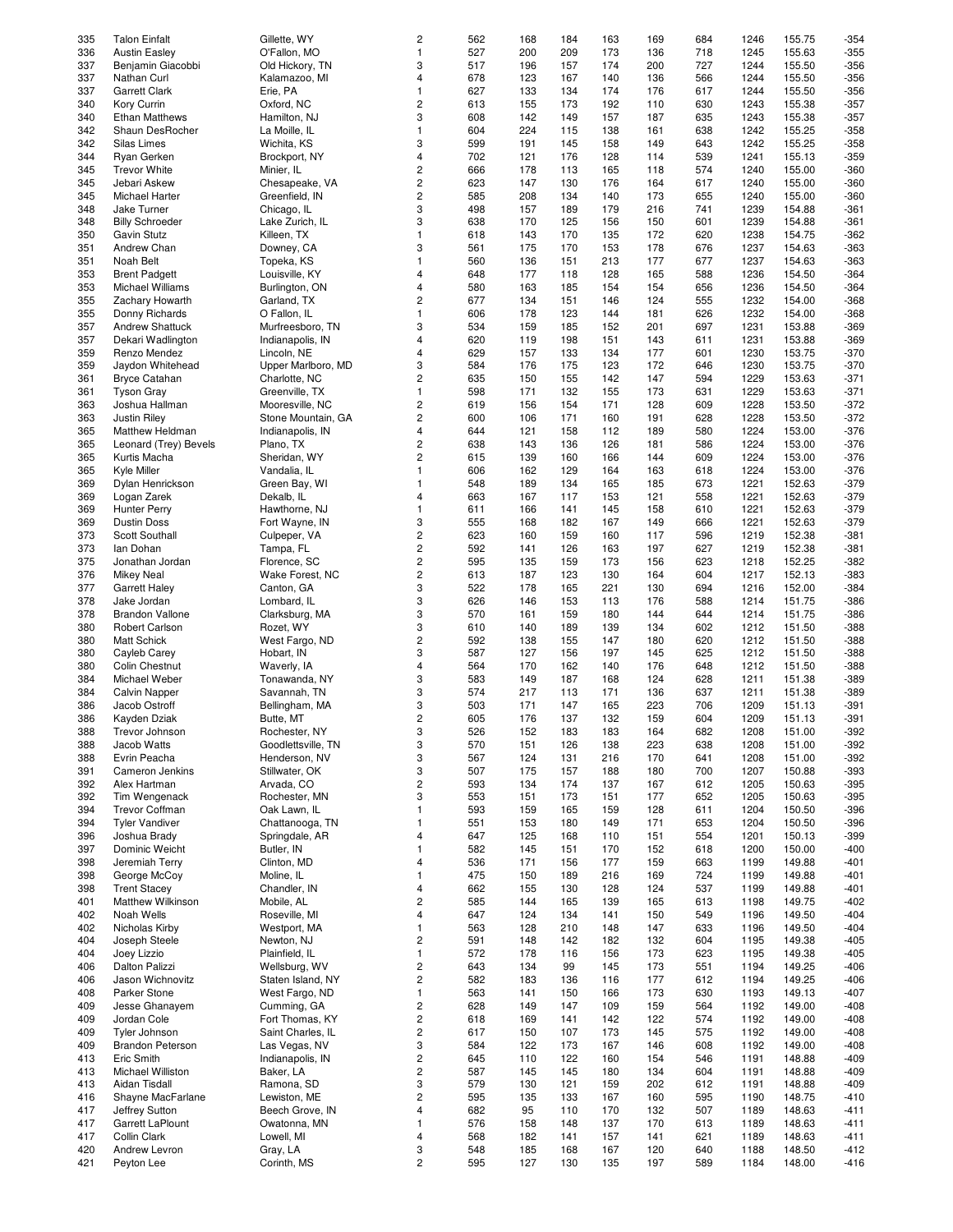| 335 | <b>Talon Einfalt</b>     | Gillette, WY       | 2                       | 562 | 168 | 184 | 163 | 169 | 684 | 1246 | 155.75 | $-354$ |
|-----|--------------------------|--------------------|-------------------------|-----|-----|-----|-----|-----|-----|------|--------|--------|
|     |                          |                    |                         |     |     |     |     |     |     |      |        |        |
| 336 | <b>Austin Easley</b>     | O'Fallon, MO       | $\mathbf{1}$            | 527 | 200 | 209 | 173 | 136 | 718 | 1245 | 155.63 | $-355$ |
| 337 | Benjamin Giacobbi        | Old Hickory, TN    | 3                       | 517 | 196 | 157 | 174 | 200 | 727 | 1244 | 155.50 | $-356$ |
| 337 | Nathan Curl              | Kalamazoo, MI      | $\overline{\mathbf{4}}$ | 678 | 123 | 167 | 140 | 136 | 566 | 1244 | 155.50 | $-356$ |
| 337 | <b>Garrett Clark</b>     | Erie, PA           | $\mathbf{1}$            | 627 | 133 | 134 | 174 | 176 | 617 | 1244 | 155.50 | $-356$ |
|     |                          |                    |                         |     |     |     |     |     |     |      |        |        |
| 340 | Kory Currin              | Oxford, NC         | $\overline{\mathbf{c}}$ | 613 | 155 | 173 | 192 | 110 | 630 | 1243 | 155.38 | $-357$ |
| 340 | <b>Ethan Matthews</b>    | Hamilton, NJ       | 3                       | 608 | 142 | 149 | 157 | 187 | 635 | 1243 | 155.38 | $-357$ |
| 342 | Shaun DesRocher          | La Moille, IL      | $\mathbf{1}$            | 604 | 224 | 115 | 138 | 161 | 638 | 1242 | 155.25 | $-358$ |
| 342 | Silas Limes              | Wichita, KS        | 3                       | 599 | 191 | 145 | 158 | 149 | 643 | 1242 | 155.25 | $-358$ |
| 344 | Ryan Gerken              | Brockport, NY      | $\overline{\mathbf{4}}$ | 702 | 121 | 176 | 128 | 114 | 539 | 1241 | 155.13 | $-359$ |
|     |                          |                    |                         |     |     |     |     |     |     |      |        |        |
| 345 | <b>Trevor White</b>      | Minier, IL         | $\overline{\mathbf{c}}$ | 666 | 178 | 113 | 165 | 118 | 574 | 1240 | 155.00 | $-360$ |
| 345 | Jebari Askew             | Chesapeake, VA     | $\overline{\mathbf{c}}$ | 623 | 147 | 130 | 176 | 164 | 617 | 1240 | 155.00 | $-360$ |
| 345 | Michael Harter           | Greenfield, IN     | $\overline{\mathbf{c}}$ | 585 | 208 | 134 | 140 | 173 | 655 | 1240 | 155.00 | $-360$ |
| 348 | Jake Turner              | Chicago, IL        | 3                       | 498 | 157 | 189 | 179 | 216 | 741 | 1239 | 154.88 | $-361$ |
|     |                          |                    |                         |     |     |     |     |     |     |      |        |        |
| 348 | <b>Billy Schroeder</b>   | Lake Zurich, IL    | 3                       | 638 | 170 | 125 | 156 | 150 | 601 | 1239 | 154.88 | $-361$ |
| 350 | Gavin Stutz              | Killeen, TX        | $\mathbf{1}$            | 618 | 143 | 170 | 135 | 172 | 620 | 1238 | 154.75 | $-362$ |
| 351 | Andrew Chan              | Downey, CA         | 3                       | 561 | 175 | 170 | 153 | 178 | 676 | 1237 | 154.63 | $-363$ |
| 351 | Noah Belt                | Topeka, KS         | $\mathbf{1}$            | 560 | 136 | 151 | 213 | 177 | 677 | 1237 | 154.63 | $-363$ |
|     |                          |                    |                         |     |     |     |     |     |     |      |        |        |
| 353 | <b>Brent Padgett</b>     | Louisville, KY     | $\overline{\mathbf{4}}$ | 648 | 177 | 118 | 128 | 165 | 588 | 1236 | 154.50 | $-364$ |
| 353 | Michael Williams         | Burlington, ON     | 4                       | 580 | 163 | 185 | 154 | 154 | 656 | 1236 | 154.50 | $-364$ |
| 355 | Zachary Howarth          | Garland, TX        | $\overline{\mathbf{c}}$ | 677 | 134 | 151 | 146 | 124 | 555 | 1232 | 154.00 | $-368$ |
| 355 | Donny Richards           | O Fallon, IL       | $\mathbf{1}$            | 606 | 178 | 123 | 144 | 181 | 626 | 1232 | 154.00 | $-368$ |
| 357 | <b>Andrew Shattuck</b>   | Murfreesboro, TN   | 3                       | 534 | 159 | 185 | 152 | 201 | 697 | 1231 | 153.88 | $-369$ |
|     |                          |                    |                         |     |     |     |     |     |     |      |        |        |
| 357 | Dekari Wadlington        | Indianapolis, IN   | $\overline{4}$          | 620 | 119 | 198 | 151 | 143 | 611 | 1231 | 153.88 | $-369$ |
| 359 | Renzo Mendez             | Lincoln, NE        | 4                       | 629 | 157 | 133 | 134 | 177 | 601 | 1230 | 153.75 | $-370$ |
| 359 | Jaydon Whitehead         | Upper Marlboro, MD | 3                       | 584 | 176 | 175 | 123 | 172 | 646 | 1230 | 153.75 | $-370$ |
| 361 | <b>Bryce Catahan</b>     | Charlotte, NC      | $\overline{c}$          | 635 | 150 | 155 | 142 | 147 | 594 | 1229 | 153.63 | $-371$ |
|     |                          |                    |                         |     |     |     |     |     |     |      |        |        |
| 361 | <b>Tyson Gray</b>        | Greenville, TX     | $\mathbf{1}$            | 598 | 171 | 132 | 155 | 173 | 631 | 1229 | 153.63 | $-371$ |
| 363 | Joshua Hallman           | Mooresville, NC    | $\overline{\mathbf{c}}$ | 619 | 156 | 154 | 171 | 128 | 609 | 1228 | 153.50 | $-372$ |
| 363 | Justin Riley             | Stone Mountain, GA | $\overline{c}$          | 600 | 106 | 171 | 160 | 191 | 628 | 1228 | 153.50 | $-372$ |
| 365 | Matthew Heldman          | Indianapolis, IN   | $\overline{\mathbf{4}}$ | 644 | 121 | 158 | 112 | 189 | 580 | 1224 | 153.00 | $-376$ |
|     |                          |                    |                         |     |     |     |     |     |     |      |        |        |
| 365 | Leonard (Trey) Bevels    | Plano, TX          | $\overline{\mathbf{c}}$ | 638 | 143 | 136 | 126 | 181 | 586 | 1224 | 153.00 | $-376$ |
| 365 | Kurtis Macha             | Sheridan, WY       | 2                       | 615 | 139 | 160 | 166 | 144 | 609 | 1224 | 153.00 | $-376$ |
| 365 | Kyle Miller              | Vandalia, IL       | $\mathbf{1}$            | 606 | 162 | 129 | 164 | 163 | 618 | 1224 | 153.00 | $-376$ |
| 369 | Dylan Henrickson         | Green Bay, WI      | $\mathbf{1}$            | 548 | 189 | 134 | 165 | 185 | 673 | 1221 | 152.63 | $-379$ |
|     |                          |                    |                         |     |     |     |     |     |     |      |        |        |
| 369 | Logan Zarek              | Dekalb, IL         | 4                       | 663 | 167 | 117 | 153 | 121 | 558 | 1221 | 152.63 | $-379$ |
| 369 | <b>Hunter Perry</b>      | Hawthorne, NJ      | $\mathbf{1}$            | 611 | 166 | 141 | 145 | 158 | 610 | 1221 | 152.63 | $-379$ |
| 369 | <b>Dustin Doss</b>       | Fort Wayne, IN     | 3                       | 555 | 168 | 182 | 167 | 149 | 666 | 1221 | 152.63 | $-379$ |
| 373 | Scott Southall           | Culpeper, VA       | $\overline{\mathbf{c}}$ | 623 | 160 | 159 | 160 | 117 | 596 | 1219 | 152.38 | $-381$ |
| 373 | lan Dohan                | Tampa, FL          | $\overline{\mathbf{c}}$ | 592 | 141 | 126 | 163 | 197 | 627 | 1219 | 152.38 | $-381$ |
|     |                          |                    |                         |     |     |     |     |     |     |      |        |        |
| 375 | Jonathan Jordan          | Florence, SC       | $\overline{\mathbf{c}}$ | 595 | 135 | 159 | 173 | 156 | 623 | 1218 | 152.25 | $-382$ |
| 376 | <b>Mikey Neal</b>        | Wake Forest, NC    | $\overline{\mathbf{c}}$ | 613 | 187 | 123 | 130 | 164 | 604 | 1217 | 152.13 | $-383$ |
| 377 | <b>Garrett Haley</b>     | Canton, GA         | 3                       | 522 | 178 | 165 | 221 | 130 | 694 | 1216 | 152.00 | $-384$ |
| 378 | Jake Jordan              | Lombard, IL        | 3                       | 626 | 146 | 153 | 113 | 176 | 588 | 1214 | 151.75 | $-386$ |
|     |                          |                    |                         |     |     |     |     |     |     |      |        |        |
| 378 | <b>Brandon Vallone</b>   | Clarksburg, MA     | 3                       | 570 | 161 | 159 | 180 | 144 | 644 | 1214 | 151.75 | $-386$ |
| 380 | Robert Carlson           | Rozet, WY          | 3                       | 610 | 140 | 189 | 139 | 134 | 602 | 1212 | 151.50 | $-388$ |
| 380 | <b>Matt Schick</b>       | West Fargo, ND     | $\overline{\mathbf{c}}$ | 592 | 138 | 155 | 147 | 180 | 620 | 1212 | 151.50 | $-388$ |
| 380 | Cayleb Carey             | Hobart, IN         | 3                       | 587 | 127 | 156 | 197 | 145 | 625 | 1212 | 151.50 | $-388$ |
|     | Colin Chestnut           | Waverly, IA        | $\overline{\mathbf{4}}$ |     |     |     |     |     |     |      |        |        |
| 380 |                          |                    |                         | 564 | 170 | 162 | 140 | 176 | 648 | 1212 | 151.50 | $-388$ |
| 384 | Michael Weber            | Tonawanda, NY      | 3                       | 583 | 149 | 187 | 168 | 124 | 628 | 1211 | 151.38 | $-389$ |
| 384 | <b>Calvin Napper</b>     | Savannah, TN       | 3                       | 574 | 217 | 113 | 171 | 136 | 637 | 1211 | 151.38 | $-389$ |
| 386 | Jacob Ostroff            | Bellingham, MA     | 3                       | 503 | 171 | 147 | 165 | 223 | 706 | 1209 | 151.13 | $-391$ |
| 386 | Kayden Dziak             | Butte, MT          | $\overline{c}$          | 605 | 176 | 137 | 132 | 159 | 604 | 1209 | 151.13 | $-391$ |
|     |                          |                    |                         |     |     |     |     |     |     |      |        |        |
| 388 | Trevor Johnson           | Rochester, NY      | 3                       | 526 | 152 | 183 | 183 | 164 | 682 | 1208 | 151.00 | $-392$ |
| 388 | Jacob Watts              | Goodlettsville, TN | 3                       | 570 | 151 | 126 | 138 | 223 | 638 | 1208 | 151.00 | $-392$ |
| 388 | Evrin Peacha             | Henderson, NV      | 3                       | 567 | 124 | 131 | 216 | 170 | 641 | 1208 | 151.00 | $-392$ |
| 391 | Cameron Jenkins          | Stillwater, OK     | 3                       | 507 | 175 | 157 | 188 | 180 | 700 | 1207 | 150.88 | $-393$ |
|     |                          |                    |                         |     |     |     |     |     |     |      |        |        |
| 392 | Alex Hartman             | Arvada, CO         | $\overline{\mathbf{c}}$ | 593 | 134 | 174 | 137 | 167 | 612 | 1205 | 150.63 | -395   |
| 392 | Tim Wengenack            | Rochester, MN      | 3                       | 553 | 151 | 173 | 151 | 177 | 652 | 1205 | 150.63 | -395   |
| 394 | <b>Trevor Coffman</b>    | Oak Lawn, IL       | $\mathbf{1}$            | 593 | 159 | 165 | 159 | 128 | 611 | 1204 | 150.50 | $-396$ |
| 394 | <b>Tyler Vandiver</b>    | Chattanooga, TN    | $\mathbf{1}$            | 551 | 153 | 180 | 149 | 171 | 653 | 1204 | 150.50 | -396   |
| 396 | Joshua Brady             | Springdale, AR     | 4                       | 647 | 125 | 168 | 110 | 151 | 554 | 1201 | 150.13 | $-399$ |
| 397 | Dominic Weicht           | Butler, IN         | $\mathbf{1}$            | 582 | 145 |     |     |     | 618 | 1200 | 150.00 |        |
|     |                          |                    |                         |     |     | 151 | 170 | 152 |     |      |        | -400   |
| 398 | Jeremiah Terry           | Clinton, MD        | 4                       | 536 | 171 | 156 | 177 | 159 | 663 | 1199 | 149.88 | -401   |
| 398 | George McCoy             | Moline, IL         | $\mathbf{1}$            | 475 | 150 | 189 | 216 | 169 | 724 | 1199 | 149.88 | $-401$ |
| 398 | <b>Trent Stacey</b>      | Chandler, IN       | 4                       | 662 | 155 | 130 | 128 | 124 | 537 | 1199 | 149.88 | -401   |
| 401 | <b>Matthew Wilkinson</b> | Mobile, AL         | $\overline{\mathbf{c}}$ | 585 | 144 | 165 | 139 | 165 | 613 | 1198 | 149.75 | -402   |
|     |                          |                    |                         |     |     |     |     |     |     |      |        |        |
| 402 | Noah Wells               | Roseville, MI      | 4                       | 647 | 124 | 134 | 141 | 150 | 549 | 1196 | 149.50 | -404   |
| 402 | Nicholas Kirby           | Westport, MA       | $\mathbf{1}$            | 563 | 128 | 210 | 148 | 147 | 633 | 1196 | 149.50 | -404   |
| 404 | Joseph Steele            | Newton, NJ         | $\overline{\mathbf{c}}$ | 591 | 148 | 142 | 182 | 132 | 604 | 1195 | 149.38 | $-405$ |
| 404 | Joey Lizzio              | Plainfield, IL     | $\mathbf{1}$            | 572 | 178 | 116 | 156 | 173 | 623 | 1195 | 149.38 | -405   |
| 406 | Dalton Palizzi           | Wellsburg, WV      | $\overline{\mathbf{c}}$ | 643 | 134 | 99  | 145 | 173 | 551 | 1194 | 149.25 | -406   |
|     |                          |                    |                         |     |     |     |     |     |     |      |        |        |
| 406 | Jason Wichnovitz         | Staten Island, NY  | 2                       | 582 | 183 | 136 | 116 | 177 | 612 | 1194 | 149.25 | -406   |
| 408 | Parker Stone             | West Fargo, ND     | $\mathbf{1}$            | 563 | 141 | 150 | 166 | 173 | 630 | 1193 | 149.13 | $-407$ |
| 409 | Jesse Ghanayem           | Cumming, GA        | $\overline{\mathbf{c}}$ | 628 | 149 | 147 | 109 | 159 | 564 | 1192 | 149.00 | $-408$ |
| 409 | Jordan Cole              | Fort Thomas, KY    | $\overline{\mathbf{c}}$ | 618 | 169 | 141 | 142 | 122 | 574 | 1192 | 149.00 | -408   |
| 409 |                          |                    |                         |     |     |     |     |     |     |      |        |        |
|     | Tyler Johnson            | Saint Charles, IL  | $\overline{\mathbf{c}}$ | 617 | 150 | 107 | 173 | 145 | 575 | 1192 | 149.00 | -408   |
| 409 | <b>Brandon Peterson</b>  | Las Vegas, NV      | 3                       | 584 | 122 | 173 | 167 | 146 | 608 | 1192 | 149.00 | -408   |
| 413 | Eric Smith               | Indianapolis, IN   | $\overline{\mathbf{c}}$ | 645 | 110 | 122 | 160 | 154 | 546 | 1191 | 148.88 | -409   |
| 413 | Michael Williston        | Baker, LA          | $\overline{\mathbf{c}}$ | 587 | 145 | 145 | 180 | 134 | 604 | 1191 | 148.88 | $-409$ |
| 413 | Aidan Tisdall            | Ramona, SD         | 3                       | 579 | 130 | 121 | 159 | 202 | 612 | 1191 | 148.88 | -409   |
|     |                          |                    |                         |     |     |     |     |     |     |      |        |        |
| 416 | Shayne MacFarlane        | Lewiston, ME       | $\overline{\mathbf{c}}$ | 595 | 135 | 133 | 167 | 160 | 595 | 1190 | 148.75 | -410   |
| 417 | Jeffrey Sutton           | Beech Grove, IN    | 4                       | 682 | 95  | 110 | 170 | 132 | 507 | 1189 | 148.63 | -411   |
| 417 | Garrett LaPlount         | Owatonna, MN       | $\mathbf{1}$            | 576 | 158 | 148 | 137 | 170 | 613 | 1189 | 148.63 | $-411$ |
| 417 | Collin Clark             | Lowell, MI         | 4                       | 568 | 182 | 141 | 157 | 141 | 621 | 1189 | 148.63 | $-411$ |
|     |                          |                    |                         |     |     |     |     |     |     |      |        |        |
| 420 | Andrew Levron            | Gray, LA           | 3                       | 548 | 185 | 168 | 167 | 120 | 640 | 1188 | 148.50 | $-412$ |
| 421 | Peyton Lee               | Corinth, MS        | $\overline{c}$          | 595 | 127 | 130 | 135 | 197 | 589 | 1184 | 148.00 | -416   |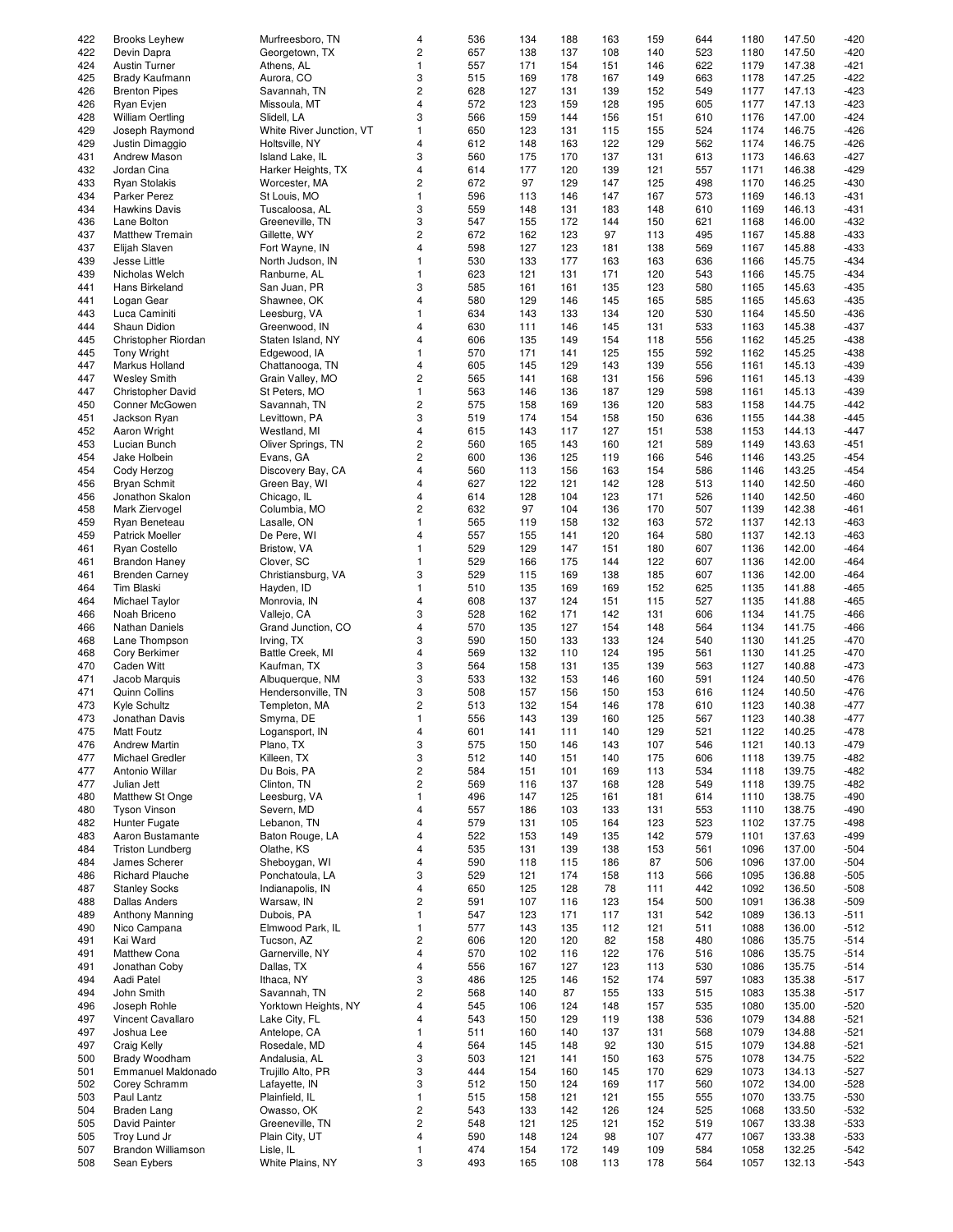| 422<br>4<br><b>Brooks Leyhew</b><br>Murfreesboro, TN<br>536<br>134<br>188<br>422<br>$\mathbf 2$<br>657<br>Georgetown, TX<br>138<br>137<br>Devin Dapra<br>424<br><b>Austin Turner</b><br>Athens, AL<br>$\mathbf{1}$<br>557<br>171<br>154<br>3<br>425<br>Brady Kaufmann<br>Aurora, CO<br>515<br>169<br>178<br>426<br>$\overline{c}$<br>628<br><b>Brenton Pipes</b><br>Savannah, TN<br>127<br>131<br>426<br>Missoula, MT<br>$\overline{4}$<br>572<br>123<br>159<br>Ryan Evjen<br>428<br><b>William Oertling</b><br>Slidell, LA<br>3<br>566<br>159<br>144<br>429<br>Joseph Raymond<br>White River Junction, VT<br>650<br>123<br>1<br>131<br>429<br>Holtsville, NY<br>4<br>612<br>148<br>Justin Dimaggio<br>163<br>431<br>3<br>560<br>175<br>170<br>Andrew Mason<br>Island Lake, IL<br>432<br>Jordan Cina<br>Harker Heights, TX<br>4<br>614<br>177<br>120<br>433<br>$\mathbf 2$<br>672<br><b>Ryan Stolakis</b><br>97<br>129<br>Worcester, MA<br>434<br>Parker Perez<br>St Louis, MO<br>$\mathbf{1}$<br>596<br>113<br>146<br>434<br>3<br>559<br>148<br><b>Hawkins Davis</b><br>Tuscaloosa, AL<br>131 | 163<br>108<br>151<br>167<br>139<br>128 | 159<br>140<br>146<br>149 | 644<br>523 | 1180<br>1180 | 147.50<br>147.50 | $-420$<br>$-420$ |
|------------------------------------------------------------------------------------------------------------------------------------------------------------------------------------------------------------------------------------------------------------------------------------------------------------------------------------------------------------------------------------------------------------------------------------------------------------------------------------------------------------------------------------------------------------------------------------------------------------------------------------------------------------------------------------------------------------------------------------------------------------------------------------------------------------------------------------------------------------------------------------------------------------------------------------------------------------------------------------------------------------------------------------------------------------------------------------------------|----------------------------------------|--------------------------|------------|--------------|------------------|------------------|
|                                                                                                                                                                                                                                                                                                                                                                                                                                                                                                                                                                                                                                                                                                                                                                                                                                                                                                                                                                                                                                                                                                |                                        |                          |            |              |                  |                  |
|                                                                                                                                                                                                                                                                                                                                                                                                                                                                                                                                                                                                                                                                                                                                                                                                                                                                                                                                                                                                                                                                                                |                                        |                          |            |              |                  |                  |
|                                                                                                                                                                                                                                                                                                                                                                                                                                                                                                                                                                                                                                                                                                                                                                                                                                                                                                                                                                                                                                                                                                |                                        |                          | 622        | 1179         | 147.38           | -421             |
|                                                                                                                                                                                                                                                                                                                                                                                                                                                                                                                                                                                                                                                                                                                                                                                                                                                                                                                                                                                                                                                                                                |                                        |                          | 663        |              | 147.25           | $-422$           |
|                                                                                                                                                                                                                                                                                                                                                                                                                                                                                                                                                                                                                                                                                                                                                                                                                                                                                                                                                                                                                                                                                                |                                        |                          |            | 1178         |                  |                  |
|                                                                                                                                                                                                                                                                                                                                                                                                                                                                                                                                                                                                                                                                                                                                                                                                                                                                                                                                                                                                                                                                                                |                                        | 152                      | 549        | 1177         | 147.13           | $-423$           |
|                                                                                                                                                                                                                                                                                                                                                                                                                                                                                                                                                                                                                                                                                                                                                                                                                                                                                                                                                                                                                                                                                                |                                        | 195                      | 605        | 1177         | 147.13           | $-423$           |
|                                                                                                                                                                                                                                                                                                                                                                                                                                                                                                                                                                                                                                                                                                                                                                                                                                                                                                                                                                                                                                                                                                |                                        |                          |            |              |                  |                  |
|                                                                                                                                                                                                                                                                                                                                                                                                                                                                                                                                                                                                                                                                                                                                                                                                                                                                                                                                                                                                                                                                                                | 156                                    | 151                      | 610        | 1176         | 147.00           | $-424$           |
|                                                                                                                                                                                                                                                                                                                                                                                                                                                                                                                                                                                                                                                                                                                                                                                                                                                                                                                                                                                                                                                                                                | 115                                    | 155                      | 524        | 1174         | 146.75           | $-426$           |
|                                                                                                                                                                                                                                                                                                                                                                                                                                                                                                                                                                                                                                                                                                                                                                                                                                                                                                                                                                                                                                                                                                | 122                                    |                          | 562        |              | 146.75           |                  |
|                                                                                                                                                                                                                                                                                                                                                                                                                                                                                                                                                                                                                                                                                                                                                                                                                                                                                                                                                                                                                                                                                                |                                        | 129                      |            | 1174         |                  | $-426$           |
|                                                                                                                                                                                                                                                                                                                                                                                                                                                                                                                                                                                                                                                                                                                                                                                                                                                                                                                                                                                                                                                                                                | 137                                    | 131                      | 613        | 1173         | 146.63           | $-427$           |
|                                                                                                                                                                                                                                                                                                                                                                                                                                                                                                                                                                                                                                                                                                                                                                                                                                                                                                                                                                                                                                                                                                | 139                                    | 121                      | 557        | 1171         | 146.38           | $-429$           |
|                                                                                                                                                                                                                                                                                                                                                                                                                                                                                                                                                                                                                                                                                                                                                                                                                                                                                                                                                                                                                                                                                                |                                        |                          |            |              |                  |                  |
|                                                                                                                                                                                                                                                                                                                                                                                                                                                                                                                                                                                                                                                                                                                                                                                                                                                                                                                                                                                                                                                                                                | 147                                    | 125                      | 498        | 1170         | 146.25           | $-430$           |
|                                                                                                                                                                                                                                                                                                                                                                                                                                                                                                                                                                                                                                                                                                                                                                                                                                                                                                                                                                                                                                                                                                | 147                                    | 167                      | 573        | 1169         | 146.13           | $-431$           |
|                                                                                                                                                                                                                                                                                                                                                                                                                                                                                                                                                                                                                                                                                                                                                                                                                                                                                                                                                                                                                                                                                                |                                        |                          |            |              |                  |                  |
|                                                                                                                                                                                                                                                                                                                                                                                                                                                                                                                                                                                                                                                                                                                                                                                                                                                                                                                                                                                                                                                                                                | 183                                    | 148                      | 610        | 1169         | 146.13           | -431             |
| 3<br>436<br>Greeneville, TN<br>547<br>155<br>172<br>Lane Bolton                                                                                                                                                                                                                                                                                                                                                                                                                                                                                                                                                                                                                                                                                                                                                                                                                                                                                                                                                                                                                                | 144                                    | 150                      | 621        | 1168         | 146.00           | $-432$           |
| <b>Matthew Tremain</b>                                                                                                                                                                                                                                                                                                                                                                                                                                                                                                                                                                                                                                                                                                                                                                                                                                                                                                                                                                                                                                                                         |                                        |                          |            |              |                  |                  |
| $\overline{c}$<br>437<br>Gillette, WY<br>672<br>162<br>123                                                                                                                                                                                                                                                                                                                                                                                                                                                                                                                                                                                                                                                                                                                                                                                                                                                                                                                                                                                                                                     | 97                                     | 113                      | 495        | 1167         | 145.88           | $-433$           |
| 437<br>598<br>Fort Wayne, IN<br>4<br>127<br>123<br>Elijah Slaven                                                                                                                                                                                                                                                                                                                                                                                                                                                                                                                                                                                                                                                                                                                                                                                                                                                                                                                                                                                                                               | 181                                    | 138                      | 569        | 1167         | 145.88           | $-433$           |
| 439<br>North Judson, IN<br>$\mathbf{1}$<br>530<br>133<br>177<br>Jesse Little                                                                                                                                                                                                                                                                                                                                                                                                                                                                                                                                                                                                                                                                                                                                                                                                                                                                                                                                                                                                                   | 163                                    | 163                      | 636        | 1166         | 145.75           | $-434$           |
|                                                                                                                                                                                                                                                                                                                                                                                                                                                                                                                                                                                                                                                                                                                                                                                                                                                                                                                                                                                                                                                                                                |                                        |                          |            |              |                  |                  |
| 439<br>Ranburne, AL<br>$\mathbf{1}$<br>623<br>Nicholas Welch<br>121<br>131                                                                                                                                                                                                                                                                                                                                                                                                                                                                                                                                                                                                                                                                                                                                                                                                                                                                                                                                                                                                                     | 171                                    | 120                      | 543        | 1166         | 145.75           | $-434$           |
| 3<br>441<br>Hans Birkeland<br>San Juan, PR<br>585<br>161<br>161                                                                                                                                                                                                                                                                                                                                                                                                                                                                                                                                                                                                                                                                                                                                                                                                                                                                                                                                                                                                                                | 135                                    | 123                      | 580        | 1165         | 145.63           | $-435$           |
|                                                                                                                                                                                                                                                                                                                                                                                                                                                                                                                                                                                                                                                                                                                                                                                                                                                                                                                                                                                                                                                                                                |                                        |                          |            |              |                  |                  |
| 441<br>Logan Gear<br>Shawnee, OK<br>$\overline{4}$<br>580<br>129<br>146                                                                                                                                                                                                                                                                                                                                                                                                                                                                                                                                                                                                                                                                                                                                                                                                                                                                                                                                                                                                                        | 145                                    | 165                      | 585        | 1165         | 145.63           | $-435$           |
| 634<br>443<br>Luca Caminiti<br>Leesburg, VA<br>$\mathbf{1}$<br>143<br>133                                                                                                                                                                                                                                                                                                                                                                                                                                                                                                                                                                                                                                                                                                                                                                                                                                                                                                                                                                                                                      | 134                                    | 120                      | 530        | 1164         | 145.50           | $-436$           |
|                                                                                                                                                                                                                                                                                                                                                                                                                                                                                                                                                                                                                                                                                                                                                                                                                                                                                                                                                                                                                                                                                                |                                        |                          |            |              |                  |                  |
| 444<br>Shaun Didion<br>Greenwood, IN<br>4<br>630<br>111<br>146                                                                                                                                                                                                                                                                                                                                                                                                                                                                                                                                                                                                                                                                                                                                                                                                                                                                                                                                                                                                                                 | 145                                    | 131                      | 533        | 1163         | 145.38           | $-437$           |
| 445<br>Christopher Riordan<br>Staten Island, NY<br>606<br>4<br>135<br>149                                                                                                                                                                                                                                                                                                                                                                                                                                                                                                                                                                                                                                                                                                                                                                                                                                                                                                                                                                                                                      | 154                                    | 118                      | 556        | 1162         | 145.25           | $-438$           |
| 445<br>Edgewood, IA<br>$\mathbf{1}$<br>570<br>171<br>Tony Wright<br>141                                                                                                                                                                                                                                                                                                                                                                                                                                                                                                                                                                                                                                                                                                                                                                                                                                                                                                                                                                                                                        | 125                                    | 155                      | 592        | 1162         | 145.25           | $-438$           |
|                                                                                                                                                                                                                                                                                                                                                                                                                                                                                                                                                                                                                                                                                                                                                                                                                                                                                                                                                                                                                                                                                                |                                        |                          |            |              |                  |                  |
| 447<br>4<br>605<br>145<br>129<br>Markus Holland<br>Chattanooga, TN                                                                                                                                                                                                                                                                                                                                                                                                                                                                                                                                                                                                                                                                                                                                                                                                                                                                                                                                                                                                                             | 143                                    | 139                      | 556        | 1161         | 145.13           | $-439$           |
| $\mathbf 2$<br>565<br>447<br><b>Wesley Smith</b><br>Grain Valley, MO<br>141<br>168                                                                                                                                                                                                                                                                                                                                                                                                                                                                                                                                                                                                                                                                                                                                                                                                                                                                                                                                                                                                             | 131                                    | 156                      | 596        | 1161         | 145.13           | $-439$           |
|                                                                                                                                                                                                                                                                                                                                                                                                                                                                                                                                                                                                                                                                                                                                                                                                                                                                                                                                                                                                                                                                                                |                                        |                          |            |              |                  |                  |
| 447<br>St Peters, MO<br>$\mathbf{1}$<br>563<br>146<br><b>Christopher David</b><br>136                                                                                                                                                                                                                                                                                                                                                                                                                                                                                                                                                                                                                                                                                                                                                                                                                                                                                                                                                                                                          | 187                                    | 129                      | 598        | 1161         | 145.13           | $-439$           |
| $\mathbf 2$<br>450<br>Conner McGowen<br>Savannah, TN<br>575<br>158<br>169                                                                                                                                                                                                                                                                                                                                                                                                                                                                                                                                                                                                                                                                                                                                                                                                                                                                                                                                                                                                                      | 136                                    | 120                      | 583        | 1158         | 144.75           | $-442$           |
|                                                                                                                                                                                                                                                                                                                                                                                                                                                                                                                                                                                                                                                                                                                                                                                                                                                                                                                                                                                                                                                                                                |                                        |                          |            |              |                  |                  |
| 3<br>451<br>Levittown, PA<br>519<br>174<br>154<br>Jackson Ryan                                                                                                                                                                                                                                                                                                                                                                                                                                                                                                                                                                                                                                                                                                                                                                                                                                                                                                                                                                                                                                 | 158                                    | 150                      | 636        | 1155         | 144.38           | $-445$           |
| 452<br>Aaron Wright<br>Westland, MI<br>4<br>615<br>143<br>117                                                                                                                                                                                                                                                                                                                                                                                                                                                                                                                                                                                                                                                                                                                                                                                                                                                                                                                                                                                                                                  | 127                                    | 151                      | 538        | 1153         | 144.13           | $-447$           |
| 453                                                                                                                                                                                                                                                                                                                                                                                                                                                                                                                                                                                                                                                                                                                                                                                                                                                                                                                                                                                                                                                                                            |                                        |                          |            |              |                  |                  |
| $\mathbf 2$<br>Lucian Bunch<br>Oliver Springs, TN<br>560<br>165<br>143                                                                                                                                                                                                                                                                                                                                                                                                                                                                                                                                                                                                                                                                                                                                                                                                                                                                                                                                                                                                                         | 160                                    | 121                      | 589        | 1149         | 143.63           | $-451$           |
| 454<br>Jake Holbein<br>Evans, GA<br>2<br>600<br>136<br>125                                                                                                                                                                                                                                                                                                                                                                                                                                                                                                                                                                                                                                                                                                                                                                                                                                                                                                                                                                                                                                     | 119                                    | 166                      | 546        | 1146         | 143.25           | $-454$           |
| 454<br>$\overline{\mathbf{4}}$<br>Discovery Bay, CA<br>560<br>Cody Herzog<br>113<br>156                                                                                                                                                                                                                                                                                                                                                                                                                                                                                                                                                                                                                                                                                                                                                                                                                                                                                                                                                                                                        | 163                                    | 154                      | 586        | 1146         | 143.25           | $-454$           |
|                                                                                                                                                                                                                                                                                                                                                                                                                                                                                                                                                                                                                                                                                                                                                                                                                                                                                                                                                                                                                                                                                                |                                        |                          |            |              |                  |                  |
| 456<br>Green Bay, WI<br>4<br>627<br>122<br>121<br><b>Bryan Schmit</b>                                                                                                                                                                                                                                                                                                                                                                                                                                                                                                                                                                                                                                                                                                                                                                                                                                                                                                                                                                                                                          | 142                                    | 128                      | 513        | 1140         | 142.50           | $-460$           |
| 456<br>Jonathon Skalon<br>Chicago, IL<br>$\overline{4}$<br>614<br>128<br>104                                                                                                                                                                                                                                                                                                                                                                                                                                                                                                                                                                                                                                                                                                                                                                                                                                                                                                                                                                                                                   | 123                                    | 171                      | 526        | 1140         | 142.50           | $-460$           |
|                                                                                                                                                                                                                                                                                                                                                                                                                                                                                                                                                                                                                                                                                                                                                                                                                                                                                                                                                                                                                                                                                                |                                        |                          |            |              |                  |                  |
| $\overline{2}$<br>632<br>458<br>Columbia, MO<br>97<br>104<br>Mark Ziervogel                                                                                                                                                                                                                                                                                                                                                                                                                                                                                                                                                                                                                                                                                                                                                                                                                                                                                                                                                                                                                    | 136                                    | 170                      | 507        | 1139         | 142.38           | $-461$           |
| 459<br>Lasalle, ON<br>$\mathbf{1}$<br>565<br>119<br>Ryan Beneteau<br>158                                                                                                                                                                                                                                                                                                                                                                                                                                                                                                                                                                                                                                                                                                                                                                                                                                                                                                                                                                                                                       | 132                                    | 163                      | 572        | 1137         | 142.13           | $-463$           |
|                                                                                                                                                                                                                                                                                                                                                                                                                                                                                                                                                                                                                                                                                                                                                                                                                                                                                                                                                                                                                                                                                                |                                        |                          |            |              |                  |                  |
| 459<br>Patrick Moeller<br>De Pere, WI<br>4<br>557<br>155<br>141                                                                                                                                                                                                                                                                                                                                                                                                                                                                                                                                                                                                                                                                                                                                                                                                                                                                                                                                                                                                                                | 120                                    | 164                      | 580        | 1137         | 142.13           | $-463$           |
| 529<br>461<br>Bristow, VA<br>$\mathbf{1}$<br>129<br>147<br>Ryan Costello                                                                                                                                                                                                                                                                                                                                                                                                                                                                                                                                                                                                                                                                                                                                                                                                                                                                                                                                                                                                                       | 151                                    | 180                      | 607        | 1136         | 142.00           | $-464$           |
|                                                                                                                                                                                                                                                                                                                                                                                                                                                                                                                                                                                                                                                                                                                                                                                                                                                                                                                                                                                                                                                                                                |                                        |                          |            |              |                  |                  |
| 529<br>461<br>Clover, SC<br>$\mathbf{1}$<br>166<br>175<br><b>Brandon Haney</b>                                                                                                                                                                                                                                                                                                                                                                                                                                                                                                                                                                                                                                                                                                                                                                                                                                                                                                                                                                                                                 | 144                                    | 122                      | 607        | 1136         | 142.00           | $-464$           |
| 3<br>529<br>461<br><b>Brenden Carney</b><br>115<br>169<br>Christiansburg, VA                                                                                                                                                                                                                                                                                                                                                                                                                                                                                                                                                                                                                                                                                                                                                                                                                                                                                                                                                                                                                   | 138                                    | 185                      | 607        | 1136         | 142.00           | $-464$           |
| 464<br>Tim Blaski<br>Hayden, ID<br>$\mathbf{1}$<br>510<br>135<br>169                                                                                                                                                                                                                                                                                                                                                                                                                                                                                                                                                                                                                                                                                                                                                                                                                                                                                                                                                                                                                           | 169                                    | 152                      | 625        | 1135         | 141.88           | $-465$           |
|                                                                                                                                                                                                                                                                                                                                                                                                                                                                                                                                                                                                                                                                                                                                                                                                                                                                                                                                                                                                                                                                                                |                                        |                          |            |              |                  |                  |
| 464<br>Monrovia, IN<br>4<br>608<br>124<br>Michael Taylor<br>137                                                                                                                                                                                                                                                                                                                                                                                                                                                                                                                                                                                                                                                                                                                                                                                                                                                                                                                                                                                                                                | 151                                    | 115                      | 527        | 1135         | 141.88           | $-465$           |
| 466<br>3<br>528<br>162<br>171<br>Noah Briceno<br>Vallejo, CA                                                                                                                                                                                                                                                                                                                                                                                                                                                                                                                                                                                                                                                                                                                                                                                                                                                                                                                                                                                                                                   | 142                                    | 131                      | 606        | 1134         | 141.75           | $-466$           |
|                                                                                                                                                                                                                                                                                                                                                                                                                                                                                                                                                                                                                                                                                                                                                                                                                                                                                                                                                                                                                                                                                                |                                        |                          |            |              |                  |                  |
| 466<br><b>Nathan Daniels</b><br>Grand Junction, CO<br>$\overline{4}$<br>570<br>135<br>127                                                                                                                                                                                                                                                                                                                                                                                                                                                                                                                                                                                                                                                                                                                                                                                                                                                                                                                                                                                                      | 154                                    | 148                      | 564        | 1134         | 141.75           | $-466$           |
| 468<br>3<br>590<br>150<br>133<br>Lane Thompson<br>Irving, TX                                                                                                                                                                                                                                                                                                                                                                                                                                                                                                                                                                                                                                                                                                                                                                                                                                                                                                                                                                                                                                   | 133                                    | 124                      | 540        | 1130         | 141.25           | $-470$           |
| 468<br>Cory Berkimer<br>Battle Creek, MI<br>4<br>569<br>132<br>110                                                                                                                                                                                                                                                                                                                                                                                                                                                                                                                                                                                                                                                                                                                                                                                                                                                                                                                                                                                                                             | 124                                    | 195                      | 561        | 1130         | 141.25           | $-470$           |
|                                                                                                                                                                                                                                                                                                                                                                                                                                                                                                                                                                                                                                                                                                                                                                                                                                                                                                                                                                                                                                                                                                |                                        |                          |            |              |                  |                  |
| 3<br>470<br>Caden Witt<br>Kaufman, TX<br>564<br>158<br>131                                                                                                                                                                                                                                                                                                                                                                                                                                                                                                                                                                                                                                                                                                                                                                                                                                                                                                                                                                                                                                     | 135                                    | 139                      | 563        | 1127         | 140.88           | -473             |
| 3<br>471<br>533<br>132<br>153<br>Jacob Marquis<br>Albuquerque, NM                                                                                                                                                                                                                                                                                                                                                                                                                                                                                                                                                                                                                                                                                                                                                                                                                                                                                                                                                                                                                              | 146                                    | 160                      | 591        | 1124         | 140.50           | $-476$           |
|                                                                                                                                                                                                                                                                                                                                                                                                                                                                                                                                                                                                                                                                                                                                                                                                                                                                                                                                                                                                                                                                                                |                                        |                          |            |              |                  |                  |
| 3<br>471<br>Quinn Collins<br>Hendersonville, TN<br>508<br>157<br>156                                                                                                                                                                                                                                                                                                                                                                                                                                                                                                                                                                                                                                                                                                                                                                                                                                                                                                                                                                                                                           | 150                                    | 153                      | 616        | 1124         | 140.50           | $-476$           |
| 473<br>$\mathbf 2$<br>513<br>132<br>Kyle Schultz<br>154<br>Templeton, MA                                                                                                                                                                                                                                                                                                                                                                                                                                                                                                                                                                                                                                                                                                                                                                                                                                                                                                                                                                                                                       | 146                                    | 178                      | 610        | 1123         | 140.38           | $-477$           |
|                                                                                                                                                                                                                                                                                                                                                                                                                                                                                                                                                                                                                                                                                                                                                                                                                                                                                                                                                                                                                                                                                                |                                        |                          |            |              |                  |                  |
| 473<br>$\mathbf{1}$<br>556<br>143<br>139<br>Jonathan Davis<br>Smyrna, DE                                                                                                                                                                                                                                                                                                                                                                                                                                                                                                                                                                                                                                                                                                                                                                                                                                                                                                                                                                                                                       | 160                                    | 125                      | 567        | 1123         | 140.38           | $-477$           |
| 475<br><b>Matt Foutz</b><br>601<br>141<br>Logansport, IN<br>4<br>111                                                                                                                                                                                                                                                                                                                                                                                                                                                                                                                                                                                                                                                                                                                                                                                                                                                                                                                                                                                                                           | 140                                    | 129                      | 521        | 1122         | 140.25           | $-478$           |
|                                                                                                                                                                                                                                                                                                                                                                                                                                                                                                                                                                                                                                                                                                                                                                                                                                                                                                                                                                                                                                                                                                |                                        |                          |            |              |                  |                  |
| 3<br>476<br>Plano, TX<br>575<br>150<br>146<br><b>Andrew Martin</b>                                                                                                                                                                                                                                                                                                                                                                                                                                                                                                                                                                                                                                                                                                                                                                                                                                                                                                                                                                                                                             | 143                                    | 107                      | 546        | 1121         | 140.13           | $-479$           |
| 3<br>477<br>Michael Gredler<br>Killeen, TX<br>512<br>140<br>151                                                                                                                                                                                                                                                                                                                                                                                                                                                                                                                                                                                                                                                                                                                                                                                                                                                                                                                                                                                                                                | 140                                    | 175                      | 606        | 1118         | 139.75           | $-482$           |
| $\mathbf 2$<br>477<br>Du Bois, PA<br>584<br>151<br>Antonio Willar<br>101                                                                                                                                                                                                                                                                                                                                                                                                                                                                                                                                                                                                                                                                                                                                                                                                                                                                                                                                                                                                                       | 169                                    | 113                      | 534        | 1118         | 139.75           | $-482$           |
|                                                                                                                                                                                                                                                                                                                                                                                                                                                                                                                                                                                                                                                                                                                                                                                                                                                                                                                                                                                                                                                                                                |                                        |                          |            |              |                  |                  |
| 477<br>Clinton, TN<br>2<br>569<br>Julian Jett<br>116                                                                                                                                                                                                                                                                                                                                                                                                                                                                                                                                                                                                                                                                                                                                                                                                                                                                                                                                                                                                                                           | 137<br>168                             | 128                      | 549        | 1118         | 139.75           | $-482$           |
|                                                                                                                                                                                                                                                                                                                                                                                                                                                                                                                                                                                                                                                                                                                                                                                                                                                                                                                                                                                                                                                                                                | 161                                    | 181                      | 614        | 1110         | 138.75           | $-490$           |
|                                                                                                                                                                                                                                                                                                                                                                                                                                                                                                                                                                                                                                                                                                                                                                                                                                                                                                                                                                                                                                                                                                |                                        |                          |            |              |                  |                  |
| $\mathbf{1}$<br>Matthew St Onge<br>Leesburg, VA<br>147<br>480<br>496<br>125                                                                                                                                                                                                                                                                                                                                                                                                                                                                                                                                                                                                                                                                                                                                                                                                                                                                                                                                                                                                                    |                                        | 131                      | 553        | 1110         | 138.75           | $-490$           |
| 480<br><b>Tyson Vinson</b><br>Severn, MD<br>4<br>557<br>103<br>186                                                                                                                                                                                                                                                                                                                                                                                                                                                                                                                                                                                                                                                                                                                                                                                                                                                                                                                                                                                                                             | 133                                    |                          | 523        | 1102         | 137.75           | $-498$           |
| 482<br>Hunter Fugate<br>Lebanon, TN<br>4<br>579<br>131<br>105                                                                                                                                                                                                                                                                                                                                                                                                                                                                                                                                                                                                                                                                                                                                                                                                                                                                                                                                                                                                                                  | 164                                    | 123                      | 579        | 1101         |                  |                  |
|                                                                                                                                                                                                                                                                                                                                                                                                                                                                                                                                                                                                                                                                                                                                                                                                                                                                                                                                                                                                                                                                                                |                                        |                          |            |              |                  |                  |
| Baton Rouge, LA<br>483<br>522<br>Aaron Bustamante<br>4<br>153<br>149                                                                                                                                                                                                                                                                                                                                                                                                                                                                                                                                                                                                                                                                                                                                                                                                                                                                                                                                                                                                                           | 135                                    | 142                      |            | 1096         | 137.63           | $-499$           |
| 484<br><b>Triston Lundberg</b><br>Olathe, KS<br>4<br>535<br>131<br>139                                                                                                                                                                                                                                                                                                                                                                                                                                                                                                                                                                                                                                                                                                                                                                                                                                                                                                                                                                                                                         | 138                                    | 153                      | 561        |              | 137.00           | $-504$           |
|                                                                                                                                                                                                                                                                                                                                                                                                                                                                                                                                                                                                                                                                                                                                                                                                                                                                                                                                                                                                                                                                                                |                                        |                          |            |              |                  |                  |
| 484<br>James Scherer<br>Sheboygan, WI<br>4<br>590<br>118<br>115                                                                                                                                                                                                                                                                                                                                                                                                                                                                                                                                                                                                                                                                                                                                                                                                                                                                                                                                                                                                                                | 186                                    | 87                       | 506        | 1096         | 137.00           | $-504$           |
| 486<br><b>Richard Plauche</b><br>Ponchatoula, LA<br>3<br>529<br>121<br>174                                                                                                                                                                                                                                                                                                                                                                                                                                                                                                                                                                                                                                                                                                                                                                                                                                                                                                                                                                                                                     | 158                                    | 113                      | 566        | 1095         | 136.88           | $-505$           |
| 4                                                                                                                                                                                                                                                                                                                                                                                                                                                                                                                                                                                                                                                                                                                                                                                                                                                                                                                                                                                                                                                                                              |                                        |                          |            |              |                  |                  |
| 487<br><b>Stanley Socks</b><br>Indianapolis, IN<br>650<br>125<br>128                                                                                                                                                                                                                                                                                                                                                                                                                                                                                                                                                                                                                                                                                                                                                                                                                                                                                                                                                                                                                           | 78                                     | 111                      | 442        | 1092         | 136.50           | $-508$           |
| $\mathbf 2$<br>488<br><b>Dallas Anders</b><br>Warsaw, IN<br>591<br>107<br>116                                                                                                                                                                                                                                                                                                                                                                                                                                                                                                                                                                                                                                                                                                                                                                                                                                                                                                                                                                                                                  | 123                                    | 154                      | 500        | 1091         | 136.38           | $-509$           |
| 489<br>Anthony Manning<br>Dubois, PA<br>1<br>547<br>123<br>171                                                                                                                                                                                                                                                                                                                                                                                                                                                                                                                                                                                                                                                                                                                                                                                                                                                                                                                                                                                                                                 | 117                                    | 131                      | 542        | 1089         | 136.13           | $-511$           |
|                                                                                                                                                                                                                                                                                                                                                                                                                                                                                                                                                                                                                                                                                                                                                                                                                                                                                                                                                                                                                                                                                                |                                        |                          |            |              |                  |                  |
| $\mathbf{1}$<br>Nico Campana<br>Elmwood Park, IL<br>577<br>490<br>143<br>135                                                                                                                                                                                                                                                                                                                                                                                                                                                                                                                                                                                                                                                                                                                                                                                                                                                                                                                                                                                                                   | 112                                    | 121                      | 511        | 1088         | 136.00           | $-512$           |
| $\overline{\mathbf{c}}$<br>491<br>Kai Ward<br>Tucson, AZ<br>606<br>120<br>120                                                                                                                                                                                                                                                                                                                                                                                                                                                                                                                                                                                                                                                                                                                                                                                                                                                                                                                                                                                                                  | 82                                     | 158                      | 480        | 1086         | 135.75           | $-514$           |
|                                                                                                                                                                                                                                                                                                                                                                                                                                                                                                                                                                                                                                                                                                                                                                                                                                                                                                                                                                                                                                                                                                |                                        |                          |            |              |                  |                  |
| 491<br>Matthew Cona<br>Garnerville, NY<br>4<br>570<br>102<br>116                                                                                                                                                                                                                                                                                                                                                                                                                                                                                                                                                                                                                                                                                                                                                                                                                                                                                                                                                                                                                               | 122                                    | 176                      | 516        | 1086         | 135.75           | $-514$           |
| 491<br>Dallas, TX<br>556<br>167<br>Jonathan Coby<br>4<br>127                                                                                                                                                                                                                                                                                                                                                                                                                                                                                                                                                                                                                                                                                                                                                                                                                                                                                                                                                                                                                                   | 123                                    | 113                      | 530        | 1086         | 135.75           | $-514$           |
|                                                                                                                                                                                                                                                                                                                                                                                                                                                                                                                                                                                                                                                                                                                                                                                                                                                                                                                                                                                                                                                                                                |                                        |                          |            |              |                  |                  |
| 494<br>Aadi Patel<br>Ithaca, NY<br>3<br>486<br>125<br>146                                                                                                                                                                                                                                                                                                                                                                                                                                                                                                                                                                                                                                                                                                                                                                                                                                                                                                                                                                                                                                      | 152                                    | 174                      | 597        | 1083         | 135.38           | $-517$           |
| $\overline{\mathbf{c}}$<br>494<br>Savannah, TN<br>568<br>John Smith<br>140<br>87                                                                                                                                                                                                                                                                                                                                                                                                                                                                                                                                                                                                                                                                                                                                                                                                                                                                                                                                                                                                               | 155                                    | 133                      | 515        | 1083         | 135.38           | $-517$           |
| 496<br>Yorktown Heights, NY<br>4<br>545<br>124<br>Joseph Rohle<br>106                                                                                                                                                                                                                                                                                                                                                                                                                                                                                                                                                                                                                                                                                                                                                                                                                                                                                                                                                                                                                          | 148                                    | 157                      | 535        | 1080         | 135.00           | $-520$           |
|                                                                                                                                                                                                                                                                                                                                                                                                                                                                                                                                                                                                                                                                                                                                                                                                                                                                                                                                                                                                                                                                                                |                                        |                          |            |              |                  |                  |
| 497<br>Vincent Cavallaro<br>Lake City, FL<br>543<br>129<br>4<br>150                                                                                                                                                                                                                                                                                                                                                                                                                                                                                                                                                                                                                                                                                                                                                                                                                                                                                                                                                                                                                            | 119                                    | 138                      | 536        | 1079         | 134.88           | $-521$           |
| 497<br>Antelope, CA<br>511<br>Joshua Lee<br>$\mathbf{1}$<br>160<br>140                                                                                                                                                                                                                                                                                                                                                                                                                                                                                                                                                                                                                                                                                                                                                                                                                                                                                                                                                                                                                         | 137                                    | 131                      | 568        | 1079         | 134.88           | $-521$           |
|                                                                                                                                                                                                                                                                                                                                                                                                                                                                                                                                                                                                                                                                                                                                                                                                                                                                                                                                                                                                                                                                                                |                                        |                          |            |              |                  |                  |
| 497<br>Rosedale, MD<br>4<br>564<br><b>Craig Kelly</b><br>145<br>148                                                                                                                                                                                                                                                                                                                                                                                                                                                                                                                                                                                                                                                                                                                                                                                                                                                                                                                                                                                                                            | 92                                     | 130                      | 515        | 1079         | 134.88           | -521             |
| 3<br>500<br>Brady Woodham<br>Andalusia, AL<br>503<br>121<br>141                                                                                                                                                                                                                                                                                                                                                                                                                                                                                                                                                                                                                                                                                                                                                                                                                                                                                                                                                                                                                                | 150                                    | 163                      | 575        | 1078         | 134.75           | $-522$           |
|                                                                                                                                                                                                                                                                                                                                                                                                                                                                                                                                                                                                                                                                                                                                                                                                                                                                                                                                                                                                                                                                                                |                                        |                          |            |              |                  |                  |
| 501<br>Emmanuel Maldonado<br>Trujillo Alto, PR<br>3<br>444<br>154<br>160                                                                                                                                                                                                                                                                                                                                                                                                                                                                                                                                                                                                                                                                                                                                                                                                                                                                                                                                                                                                                       | 145                                    | 170                      | 629        | 1073         | 134.13           | $-527$           |
| 502<br>Corey Schramm<br>Lafayette, IN<br>3<br>512<br>150<br>124                                                                                                                                                                                                                                                                                                                                                                                                                                                                                                                                                                                                                                                                                                                                                                                                                                                                                                                                                                                                                                | 169                                    | 117                      | 560        | 1072         | 134.00           | $-528$           |
|                                                                                                                                                                                                                                                                                                                                                                                                                                                                                                                                                                                                                                                                                                                                                                                                                                                                                                                                                                                                                                                                                                |                                        |                          |            |              |                  |                  |
| 503<br>Paul Lantz<br>Plainfield, IL<br>$\mathbf{1}$<br>515<br>158<br>121                                                                                                                                                                                                                                                                                                                                                                                                                                                                                                                                                                                                                                                                                                                                                                                                                                                                                                                                                                                                                       | 121                                    | 155                      | 555        | 1070         | 133.75           | $-530$           |
| 504<br>Owasso, OK<br>2<br>543<br><b>Braden Lang</b><br>133<br>142                                                                                                                                                                                                                                                                                                                                                                                                                                                                                                                                                                                                                                                                                                                                                                                                                                                                                                                                                                                                                              | 126                                    | 124                      | 525        | 1068         | 133.50           | -532             |
| $\mathbf 2$<br>505<br>David Painter<br>Greeneville, TN<br>548<br>121<br>125                                                                                                                                                                                                                                                                                                                                                                                                                                                                                                                                                                                                                                                                                                                                                                                                                                                                                                                                                                                                                    | 121                                    | 152                      | 519        | 1067         | 133.38           | $-533$           |
|                                                                                                                                                                                                                                                                                                                                                                                                                                                                                                                                                                                                                                                                                                                                                                                                                                                                                                                                                                                                                                                                                                |                                        |                          |            |              |                  |                  |
| 505<br>Troy Lund Jr<br>Plain City, UT<br>4<br>590<br>124<br>148                                                                                                                                                                                                                                                                                                                                                                                                                                                                                                                                                                                                                                                                                                                                                                                                                                                                                                                                                                                                                                | 98                                     | 107                      | 477        | 1067         | 133.38           | $-533$           |
| 507<br>Brandon Williamson<br>Lisle, IL<br>474<br>154<br>172<br>$\mathbf{1}$<br>3<br>508<br>Sean Eybers<br>White Plains, NY<br>493<br>165                                                                                                                                                                                                                                                                                                                                                                                                                                                                                                                                                                                                                                                                                                                                                                                                                                                                                                                                                       | 149                                    | 109                      | 584<br>564 | 1058<br>1057 | 132.25<br>132.13 | $-542$<br>$-543$ |